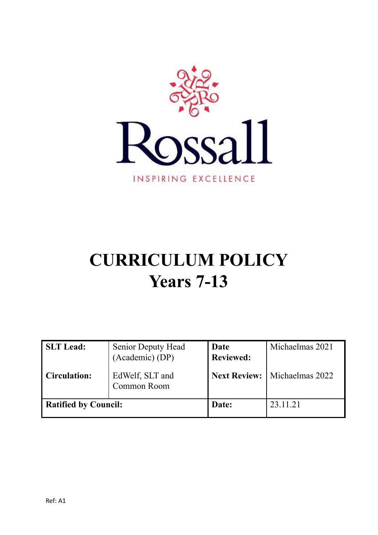

# **CURRICULUM POLICY Years 7-13**

| <b>SLT</b> Lead:<br><b>Circulation:</b> | Senior Deputy Head<br>(Academic) (DP)<br>EdWelf, SLT and<br>Common Room | Date<br><b>Reviewed:</b><br><b>Next Review:</b> | Michaelmas 2021<br>Michaelmas 2022 |
|-----------------------------------------|-------------------------------------------------------------------------|-------------------------------------------------|------------------------------------|
| <b>Ratified by Council:</b>             |                                                                         | Date:                                           | 23.11.21                           |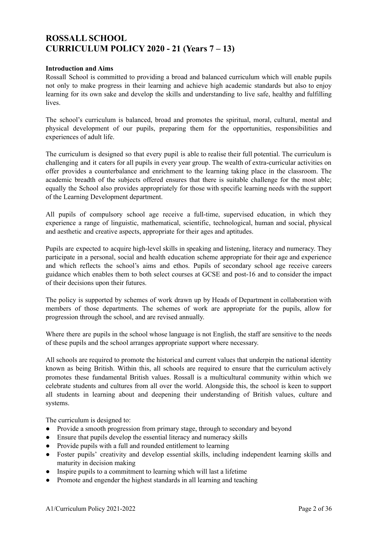# **ROSSALL SCHOOL CURRICULUM POLICY 2020 - 21 (Years 7 – 13)**

#### **Introduction and Aims**

Rossall School is committed to providing a broad and balanced curriculum which will enable pupils not only to make progress in their learning and achieve high academic standards but also to enjoy learning for its own sake and develop the skills and understanding to live safe, healthy and fulfilling **lives** 

The school's curriculum is balanced, broad and promotes the spiritual, moral, cultural, mental and physical development of our pupils, preparing them for the opportunities, responsibilities and experiences of adult life.

The curriculum is designed so that every pupil is able to realise their full potential. The curriculum is challenging and it caters for all pupils in every year group. The wealth of extra-curricular activities on offer provides a counterbalance and enrichment to the learning taking place in the classroom. The academic breadth of the subjects offered ensures that there is suitable challenge for the most able; equally the School also provides appropriately for those with specific learning needs with the support of the Learning Development department.

All pupils of compulsory school age receive a full-time, supervised education, in which they experience a range of linguistic, mathematical, scientific, technological, human and social, physical and aesthetic and creative aspects, appropriate for their ages and aptitudes.

Pupils are expected to acquire high-level skills in speaking and listening, literacy and numeracy. They participate in a personal, social and health education scheme appropriate for their age and experience and which reflects the school's aims and ethos. Pupils of secondary school age receive careers guidance which enables them to both select courses at GCSE and post-16 and to consider the impact of their decisions upon their futures.

The policy is supported by schemes of work drawn up by Heads of Department in collaboration with members of those departments. The schemes of work are appropriate for the pupils, allow for progression through the school, and are revised annually.

Where there are pupils in the school whose language is not English, the staff are sensitive to the needs of these pupils and the school arranges appropriate support where necessary.

All schools are required to promote the historical and current values that underpin the national identity known as being British. Within this, all schools are required to ensure that the curriculum actively promotes these fundamental British values. Rossall is a multicultural community within which we celebrate students and cultures from all over the world. Alongside this, the school is keen to support all students in learning about and deepening their understanding of British values, culture and systems.

The curriculum is designed to:

- Provide a smooth progression from primary stage, through to secondary and beyond
- Ensure that pupils develop the essential literacy and numeracy skills
- Provide pupils with a full and rounded entitlement to learning
- Foster pupils' creativity and develop essential skills, including independent learning skills and maturity in decision making
- Inspire pupils to a commitment to learning which will last a lifetime
- Promote and engender the highest standards in all learning and teaching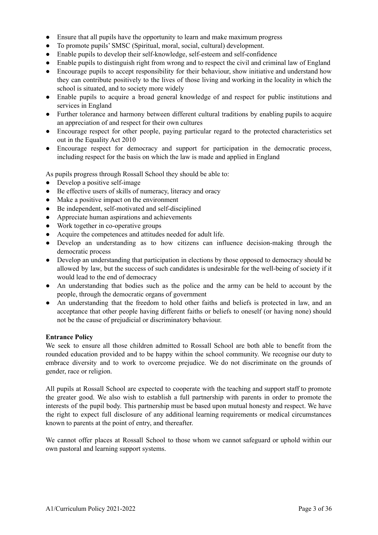- Ensure that all pupils have the opportunity to learn and make maximum progress
- To promote pupils' SMSC (Spiritual, moral, social, cultural) development.
- Enable pupils to develop their self-knowledge, self-esteem and self-confidence
- Enable pupils to distinguish right from wrong and to respect the civil and criminal law of England
- Encourage pupils to accept responsibility for their behaviour, show initiative and understand how they can contribute positively to the lives of those living and working in the locality in which the school is situated, and to society more widely
- Enable pupils to acquire a broad general knowledge of and respect for public institutions and services in England
- Further tolerance and harmony between different cultural traditions by enabling pupils to acquire an appreciation of and respect for their own cultures
- Encourage respect for other people, paying particular regard to the protected characteristics set out in the Equality Act 2010
- Encourage respect for democracy and support for participation in the democratic process, including respect for the basis on which the law is made and applied in England

As pupils progress through Rossall School they should be able to:

- Develop a positive self-image
- Be effective users of skills of numeracy, literacy and oracy
- Make a positive impact on the environment
- Be independent, self-motivated and self-disciplined
- Appreciate human aspirations and achievements
- Work together in co-operative groups
- Acquire the competences and attitudes needed for adult life.
- Develop an understanding as to how citizens can influence decision-making through the democratic process
- Develop an understanding that participation in elections by those opposed to democracy should be allowed by law, but the success of such candidates is undesirable for the well-being of society if it would lead to the end of democracy
- An understanding that bodies such as the police and the army can be held to account by the people, through the democratic organs of government
- An understanding that the freedom to hold other faiths and beliefs is protected in law, and an acceptance that other people having different faiths or beliefs to oneself (or having none) should not be the cause of prejudicial or discriminatory behaviour.

#### **Entrance Policy**

We seek to ensure all those children admitted to Rossall School are both able to benefit from the rounded education provided and to be happy within the school community. We recognise our duty to embrace diversity and to work to overcome prejudice. We do not discriminate on the grounds of gender, race or religion.

All pupils at Rossall School are expected to cooperate with the teaching and support staff to promote the greater good. We also wish to establish a full partnership with parents in order to promote the interests of the pupil body. This partnership must be based upon mutual honesty and respect. We have the right to expect full disclosure of any additional learning requirements or medical circumstances known to parents at the point of entry, and thereafter.

We cannot offer places at Rossall School to those whom we cannot safeguard or uphold within our own pastoral and learning support systems.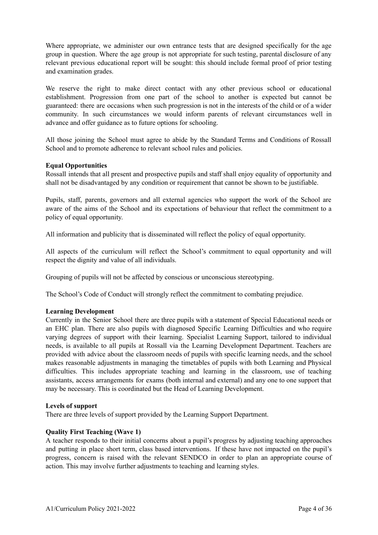Where appropriate, we administer our own entrance tests that are designed specifically for the age group in question. Where the age group is not appropriate for such testing, parental disclosure of any relevant previous educational report will be sought: this should include formal proof of prior testing and examination grades.

We reserve the right to make direct contact with any other previous school or educational establishment. Progression from one part of the school to another is expected but cannot be guaranteed: there are occasions when such progression is not in the interests of the child or of a wider community. In such circumstances we would inform parents of relevant circumstances well in advance and offer guidance as to future options for schooling.

All those joining the School must agree to abide by the Standard Terms and Conditions of Rossall School and to promote adherence to relevant school rules and policies.

#### **Equal Opportunities**

Rossall intends that all present and prospective pupils and staff shall enjoy equality of opportunity and shall not be disadvantaged by any condition or requirement that cannot be shown to be justifiable.

Pupils, staff, parents, governors and all external agencies who support the work of the School are aware of the aims of the School and its expectations of behaviour that reflect the commitment to a policy of equal opportunity.

All information and publicity that is disseminated will reflect the policy of equal opportunity.

All aspects of the curriculum will reflect the School's commitment to equal opportunity and will respect the dignity and value of all individuals.

Grouping of pupils will not be affected by conscious or unconscious stereotyping.

The School's Code of Conduct will strongly reflect the commitment to combating prejudice.

#### **Learning Development**

Currently in the Senior School there are three pupils with a statement of Special Educational needs or an EHC plan. There are also pupils with diagnosed Specific Learning Difficulties and who require varying degrees of support with their learning. Specialist Learning Support, tailored to individual needs, is available to all pupils at Rossall via the Learning Development Department. Teachers are provided with advice about the classroom needs of pupils with specific learning needs, and the school makes reasonable adjustments in managing the timetables of pupils with both Learning and Physical difficulties. This includes appropriate teaching and learning in the classroom, use of teaching assistants, access arrangements for exams (both internal and external) and any one to one support that may be necessary. This is coordinated but the Head of Learning Development.

#### **Levels of support**

There are three levels of support provided by the Learning Support Department.

#### **Quality First Teaching (Wave 1)**

A teacher responds to their initial concerns about a pupil's progress by adjusting teaching approaches and putting in place short term, class based interventions. If these have not impacted on the pupil's progress, concern is raised with the relevant SENDCO in order to plan an appropriate course of action. This may involve further adjustments to teaching and learning styles.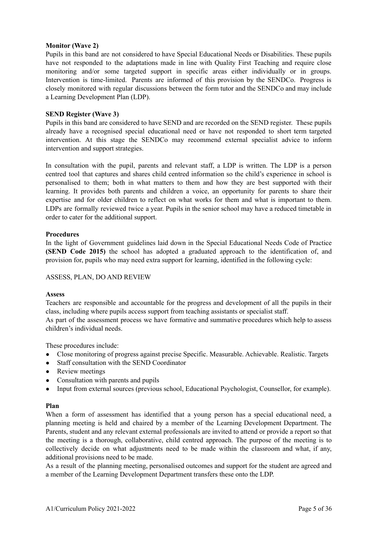#### **Monitor (Wave 2)**

Pupils in this band are not considered to have Special Educational Needs or Disabilities. These pupils have not responded to the adaptations made in line with Quality First Teaching and require close monitoring and/or some targeted support in specific areas either individually or in groups. Intervention is time-limited. Parents are informed of this provision by the SENDCo. Progress is closely monitored with regular discussions between the form tutor and the SENDCo and may include a Learning Development Plan (LDP).

#### **SEND Register (Wave 3)**

Pupils in this band are considered to have SEND and are recorded on the SEND register. These pupils already have a recognised special educational need or have not responded to short term targeted intervention. At this stage the SENDCo may recommend external specialist advice to inform intervention and support strategies.

In consultation with the pupil, parents and relevant staff, a LDP is written. The LDP is a person centred tool that captures and shares child centred information so the child's experience in school is personalised to them; both in what matters to them and how they are best supported with their learning. It provides both parents and children a voice, an opportunity for parents to share their expertise and for older children to reflect on what works for them and what is important to them. LDPs are formally reviewed twice a year. Pupils in the senior school may have a reduced timetable in order to cater for the additional support.

#### **Procedures**

In the light of Government guidelines laid down in the Special Educational Needs Code of Practice **(SEND Code 2015)** the school has adopted a graduated approach to the identification of, and provision for, pupils who may need extra support for learning, identified in the following cycle:

#### ASSESS, PLAN, DO AND REVIEW

#### **Assess**

Teachers are responsible and accountable for the progress and development of all the pupils in their class, including where pupils access support from teaching assistants or specialist staff.

As part of the assessment process we have formative and summative procedures which help to assess children's individual needs.

These procedures include:

- Close monitoring of progress against precise Specific. Measurable. Achievable. Realistic. Targets
- Staff consultation with the SEND Coordinator
- Review meetings
- Consultation with parents and pupils
- Input from external sources (previous school, Educational Psychologist, Counsellor, for example).

#### **Plan**

When a form of assessment has identified that a young person has a special educational need, a planning meeting is held and chaired by a member of the Learning Development Department. The Parents, student and any relevant external professionals are invited to attend or provide a report so that the meeting is a thorough, collaborative, child centred approach. The purpose of the meeting is to collectively decide on what adjustments need to be made within the classroom and what, if any, additional provisions need to be made.

As a result of the planning meeting, personalised outcomes and support for the student are agreed and a member of the Learning Development Department transfers these onto the LDP.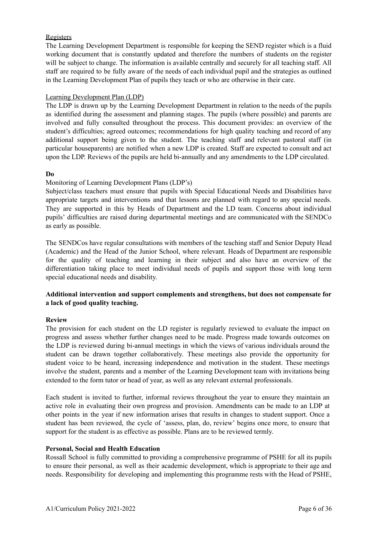#### Registers

The Learning Development Department is responsible for keeping the SEND register which is a fluid working document that is constantly updated and therefore the numbers of students on the register will be subject to change. The information is available centrally and securely for all teaching staff. All staff are required to be fully aware of the needs of each individual pupil and the strategies as outlined in the Learning Development Plan of pupils they teach or who are otherwise in their care.

#### Learning Development Plan (LDP)

The LDP is drawn up by the Learning Development Department in relation to the needs of the pupils as identified during the assessment and planning stages. The pupils (where possible) and parents are involved and fully consulted throughout the process. This document provides: an overview of the student's difficulties; agreed outcomes; recommendations for high quality teaching and record of any additional support being given to the student. The teaching staff and relevant pastoral staff (in particular houseparents) are notified when a new LDP is created. Staff are expected to consult and act upon the LDP. Reviews of the pupils are held bi-annually and any amendments to the LDP circulated.

#### **Do**

#### Monitoring of Learning Development Plans (LDP's)

Subject/class teachers must ensure that pupils with Special Educational Needs and Disabilities have appropriate targets and interventions and that lessons are planned with regard to any special needs. They are supported in this by Heads of Department and the LD team. Concerns about individual pupils' difficulties are raised during departmental meetings and are communicated with the SENDCo as early as possible.

The SENDCos have regular consultations with members of the teaching staff and Senior Deputy Head (Academic) and the Head of the Junior School, where relevant. Heads of Department are responsible for the quality of teaching and learning in their subject and also have an overview of the differentiation taking place to meet individual needs of pupils and support those with long term special educational needs and disability.

#### **Additional intervention and support complements and strengthens, but does not compensate for a lack of good quality teaching.**

#### **Review**

The provision for each student on the LD register is regularly reviewed to evaluate the impact on progress and assess whether further changes need to be made. Progress made towards outcomes on the LDP is reviewed during bi-annual meetings in which the views of various individuals around the student can be drawn together collaboratively. These meetings also provide the opportunity for student voice to be heard, increasing independence and motivation in the student. These meetings involve the student, parents and a member of the Learning Development team with invitations being extended to the form tutor or head of year, as well as any relevant external professionals.

Each student is invited to further, informal reviews throughout the year to ensure they maintain an active role in evaluating their own progress and provision. Amendments can be made to an LDP at other points in the year if new information arises that results in changes to student support. Once a student has been reviewed, the cycle of 'assess, plan, do, review' begins once more, to ensure that support for the student is as effective as possible. Plans are to be reviewed termly.

#### **Personal, Social and Health Education**

Rossall School is fully committed to providing a comprehensive programme of PSHE for all its pupils to ensure their personal, as well as their academic development, which is appropriate to their age and needs. Responsibility for developing and implementing this programme rests with the Head of PSHE,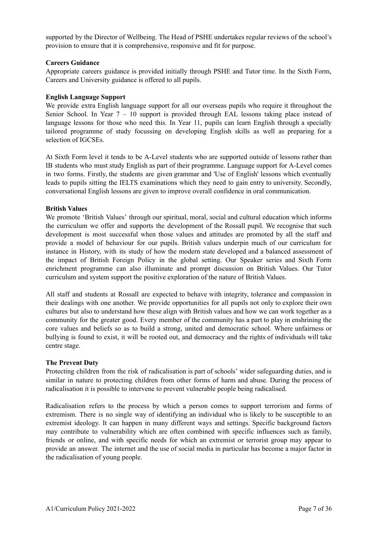supported by the Director of Wellbeing. The Head of PSHE undertakes regular reviews of the school's provision to ensure that it is comprehensive, responsive and fit for purpose.

#### **Careers Guidance**

Appropriate careers guidance is provided initially through PSHE and Tutor time. In the Sixth Form, Careers and University guidance is offered to all pupils.

#### **English Language Support**

We provide extra English language support for all our overseas pupils who require it throughout the Senior School. In Year 7 – 10 support is provided through EAL lessons taking place instead of language lessons for those who need this. In Year 11, pupils can learn English through a specially tailored programme of study focussing on developing English skills as well as preparing for a selection of IGCSEs.

At Sixth Form level it tends to be A-Level students who are supported outside of lessons rather than IB students who must study English as part of their programme. Language support for A-Level comes in two forms. Firstly, the students are given grammar and 'Use of English' lessons which eventually leads to pupils sitting the IELTS examinations which they need to gain entry to university. Secondly, conversational English lessons are given to improve overall confidence in oral communication.

#### **British Values**

We promote 'British Values' through our spiritual, moral, social and cultural education which informs the curriculum we offer and supports the development of the Rossall pupil. We recognise that such development is most successful when those values and attitudes are promoted by all the staff and provide a model of behaviour for our pupils. British values underpin much of our curriculum for instance in History, with its study of how the modern state developed and a balanced assessment of the impact of British Foreign Policy in the global setting. Our Speaker series and Sixth Form enrichment programme can also illuminate and prompt discussion on British Values. Our Tutor curriculum and system support the positive exploration of the nature of British Values.

All staff and students at Rossall are expected to behave with integrity, tolerance and compassion in their dealings with one another. We provide opportunities for all pupils not only to explore their own cultures but also to understand how these align with British values and how we can work together as a community for the greater good. Every member of the community has a part to play in enshrining the core values and beliefs so as to build a strong, united and democratic school. Where unfairness or bullying is found to exist, it will be rooted out, and democracy and the rights of individuals will take centre stage.

#### **The Prevent Duty**

Protecting children from the risk of radicalisation is part of schools' wider safeguarding duties, and is similar in nature to protecting children from other forms of harm and abuse. During the process of radicalisation it is possible to intervene to prevent vulnerable people being radicalised.

Radicalisation refers to the process by which a person comes to support terrorism and forms of extremism. There is no single way of identifying an individual who is likely to be susceptible to an extremist ideology. It can happen in many different ways and settings. Specific background factors may contribute to vulnerability which are often combined with specific influences such as family, friends or online, and with specific needs for which an extremist or terrorist group may appear to provide an answer. The internet and the use of social media in particular has become a major factor in the radicalisation of young people.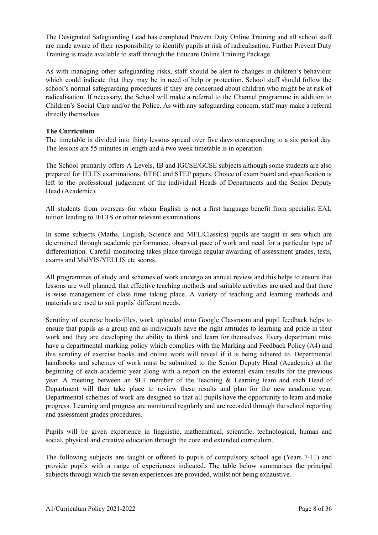The Designated Safeguarding Lead has completed Prevent Duty Online Training and all school staff are made aware of their responsibility to identify pupils at risk of radicalisation. Further Prevent Duty Training is made available to staff through the Educare Online Training Package.

As with managing other safeguarding risks, staff should be alert to changes in children's behaviour which could indicate that they may be in need of help or protection. School staff should follow the school's normal safeguarding procedures if they are concerned about children who might be at risk of radicalisation. If necessary, the School will make a referral to the Channel programme in addition to Children's Social Care and/or the Police. As with any safeguarding concern, staff may make a referral directly themselves

#### **The Curriculum**

The timetable is divided into thirty lessons spread over five days corresponding to a six period day. The lessons are 55 minutes in length and a two week timetable is in operation.

The School primarily offers A Levels, IB and IGCSE/GCSE subjects although some students are also prepared for IELTS examinations, BTEC and STEP papers. Choice of exam board and specification is left to the professional judgement of the individual Heads of Departments and the Senior Deputy Head (Academic).

All students from overseas for whom English is not a first language benefit from specialist EAL tuition leading to IELTS or other relevant examinations.

In some subjects (Maths, English, Science and MFL/Classics) pupils are taught in sets which are determined through academic performance, observed pace of work and need for a particular type of differentiation. Careful monitoring takes place through regular awarding of assessment grades, tests, exams and MidYIS/YELLIS etc scores.

All programmes of study and schemes of work undergo an annual review and this helps to ensure that lessons are well planned, that effective teaching methods and suitable activities are used and that there is wise management of class time taking place. A variety of teaching and learning methods and materials are used to suit pupils' different needs.

Scrutiny of exercise books/files, work uploaded onto Google Classroom and pupil feedback helps to ensure that pupils as a group and as individuals have the right attitudes to learning and pride in their work and they are developing the ability to think and learn for themselves. Every department must have a departmental marking policy which complies with the Marking and Feedback Policy (A4) and this scrutiny of exercise books and online work will reveal if it is being adhered to. Departmental handbooks and schemes of work must be submitted to the Senior Deputy Head (Academic) at the beginning of each academic year along with a report on the external exam results for the previous year. A meeting between an SLT member of the Teaching & Learning team and each Head of Department will then take place to review these results and plan for the new academic year. Departmental schemes of work are designed so that all pupils have the opportunity to learn and make progress. Learning and progress are monitored regularly and are recorded through the school reporting and assessment grades procedures.

Pupils will be given experience in linguistic, mathematical, scientific, technological, human and social, physical and creative education through the core and extended curriculum.

The following subjects are taught or offered to pupils of compulsory school age (Years 7-11) and provide pupils with a range of experiences indicated. The table below summarises the principal subjects through which the seven experiences are provided, whilst not being exhaustive.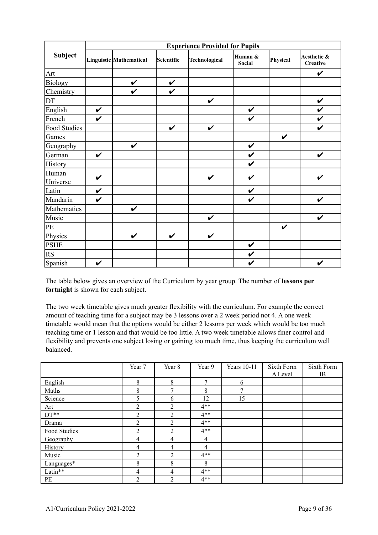|                   | <b>Experience Provided for Pupils</b> |                         |                    |               |                   |              |                         |  |
|-------------------|---------------------------------------|-------------------------|--------------------|---------------|-------------------|--------------|-------------------------|--|
| Subject           |                                       | Linguistic Mathematical | Scientific         | Technological | Human &<br>Social | Physical     | Aesthetic &<br>Creative |  |
| Art               |                                       |                         |                    |               |                   |              | $\checkmark$            |  |
| Biology           |                                       | $\checkmark$            | $\checkmark$       |               |                   |              |                         |  |
| Chemistry         |                                       | $\checkmark$            | $\checkmark$       |               |                   |              |                         |  |
| DT                |                                       |                         |                    | $\checkmark$  |                   |              | $\checkmark$            |  |
| English           | $\checkmark$                          |                         |                    |               | $\checkmark$      |              | $\boldsymbol{\nu}$      |  |
| French            | $\checkmark$                          |                         |                    |               | $\checkmark$      |              | $\checkmark$            |  |
| Food Studies      |                                       |                         | $\boldsymbol{\nu}$ | V             |                   |              | V                       |  |
| Games             |                                       |                         |                    |               |                   | $\checkmark$ |                         |  |
| Geography         |                                       | $\checkmark$            |                    |               | $\checkmark$      |              |                         |  |
| German            | $\checkmark$                          |                         |                    |               | $\checkmark$      |              | $\checkmark$            |  |
| History           |                                       |                         |                    |               | V                 |              |                         |  |
| Human<br>Universe | $\checkmark$                          |                         |                    | $\checkmark$  | $\checkmark$      |              | $\checkmark$            |  |
| Latin             | $\checkmark$                          |                         |                    |               | $\checkmark$      |              |                         |  |
| Mandarin          | $\boldsymbol{\nu}$                    |                         |                    |               | V                 |              | $\boldsymbol{\nu}$      |  |
| Mathematics       |                                       | $\checkmark$            |                    |               |                   |              |                         |  |
| Music             |                                       |                         |                    | $\checkmark$  |                   |              | $\checkmark$            |  |
| PE                |                                       |                         |                    |               |                   | $\checkmark$ |                         |  |
| Physics           |                                       | $\checkmark$            | $\checkmark$       | $\checkmark$  |                   |              |                         |  |
| <b>PSHE</b>       |                                       |                         |                    |               | $\checkmark$      |              |                         |  |
| <b>RS</b>         |                                       |                         |                    |               | $\checkmark$      |              |                         |  |
| Spanish           | $\checkmark$                          |                         |                    |               | $\checkmark$      |              | $\checkmark$            |  |

The table below gives an overview of the Curriculum by year group. The number of **lessons per fortnight** is shown for each subject.

The two week timetable gives much greater flexibility with the curriculum. For example the correct amount of teaching time for a subject may be 3 lessons over a 2 week period not 4. A one week timetable would mean that the options would be either 2 lessons per week which would be too much teaching time or 1 lesson and that would be too little. A two week timetable allows finer control and flexibility and prevents one subject losing or gaining too much time, thus keeping the curriculum well balanced.

|              | Year 7         | Year 8         | Year 9         | Years 10-11 | Sixth Form | Sixth Form |
|--------------|----------------|----------------|----------------|-------------|------------|------------|
|              |                |                |                |             | A Level    | IB         |
| English      | 8              | 8              | 7              | 6           |            |            |
| Maths        | 8              | 7              | 8              | 7           |            |            |
| Science      | 5              | 6              | 12             | 15          |            |            |
| Art          | 2              | $\overline{2}$ | $4**$          |             |            |            |
| $DT**$       | $\overline{2}$ | $\overline{2}$ | $4**$          |             |            |            |
| Drama        | $\overline{2}$ | 2              | $4**$          |             |            |            |
| Food Studies | $\overline{2}$ | $\overline{2}$ | $4**$          |             |            |            |
| Geography    | 4              | 4              | $\overline{4}$ |             |            |            |
| History      | 4              | 4              | $\overline{4}$ |             |            |            |
| Music        | $\overline{2}$ | $\overline{2}$ | $4**$          |             |            |            |
| Languages*   | 8              | 8              | 8              |             |            |            |
| Latin**      | 4              | $\overline{4}$ | $4**$          |             |            |            |
| PE           | 2              | $\overline{2}$ | $4**$          |             |            |            |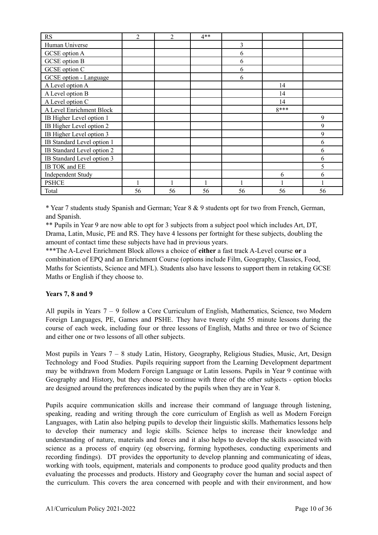| <b>RS</b>                  | $\overline{2}$ | $\overline{2}$ | $4**$ |    |        |    |
|----------------------------|----------------|----------------|-------|----|--------|----|
| Human Universe             |                |                |       | 3  |        |    |
| <b>GCSE</b> option A       |                |                |       | 6  |        |    |
| <b>GCSE</b> option B       |                |                |       | 6  |        |    |
| GCSE option C              |                |                |       | 6  |        |    |
| GCSE option - Language     |                |                |       | 6  |        |    |
| A Level option A           |                |                |       |    | 14     |    |
| A Level option B           |                |                |       |    | 14     |    |
| A Level option C           |                |                |       |    | 14     |    |
| A Level Enrichment Block   |                |                |       |    | $8***$ |    |
| IB Higher Level option 1   |                |                |       |    |        | 9  |
| IB Higher Level option 2   |                |                |       |    |        | 9  |
| IB Higher Level option 3   |                |                |       |    |        | 9  |
| IB Standard Level option 1 |                |                |       |    |        | 6  |
| IB Standard Level option 2 |                |                |       |    |        | 6  |
| IB Standard Level option 3 |                |                |       |    |        | 6  |
| IB TOK and EE              |                |                |       |    |        | 5  |
| <b>Independent Study</b>   |                |                |       |    | 6      | 6  |
| <b>PSHCE</b>               |                |                | 1     |    |        |    |
| Total                      | 56             | 56             | 56    | 56 | 56     | 56 |

\* Year 7 students study Spanish and German; Year 8 & 9 students opt for two from French, German, and Spanish.

\*\* Pupils in Year 9 are now able to opt for 3 subjects from a subject pool which includes Art, DT, Drama, Latin, Music, PE and RS. They have 4 lessons per fortnight for these subjects, doubling the amount of contact time these subjects have had in previous years.

\*\*\*The A-Level Enrichment Block allows a choice of **either** a fast track A-Level course **or** a combination of EPQ and an Enrichment Course (options include Film, Geography, Classics, Food, Maths for Scientists, Science and MFL). Students also have lessons to support them in retaking GCSE Maths or English if they choose to.

#### **Years 7, 8 and 9**

All pupils in Years 7 – 9 follow a Core Curriculum of English, Mathematics, Science, two Modern Foreign Languages, PE, Games and PSHE. They have twenty eight 55 minute lessons during the course of each week, including four or three lessons of English, Maths and three or two of Science and either one or two lessons of all other subjects.

Most pupils in Years 7 – 8 study Latin, History, Geography, Religious Studies, Music, Art, Design Technology and Food Studies. Pupils requiring support from the Learning Development department may be withdrawn from Modern Foreign Language or Latin lessons. Pupils in Year 9 continue with Geography and History, but they choose to continue with three of the other subjects - option blocks are designed around the preferences indicated by the pupils when they are in Year 8.

Pupils acquire communication skills and increase their command of language through listening, speaking, reading and writing through the core curriculum of English as well as Modern Foreign Languages, with Latin also helping pupils to develop their linguistic skills. Mathematics lessons help to develop their numeracy and logic skills. Science helps to increase their knowledge and understanding of nature, materials and forces and it also helps to develop the skills associated with science as a process of enquiry (eg observing, forming hypotheses, conducting experiments and recording findings). DT provides the opportunity to develop planning and communicating of ideas, working with tools, equipment, materials and components to produce good quality products and then evaluating the processes and products. History and Geography cover the human and social aspect of the curriculum. This covers the area concerned with people and with their environment, and how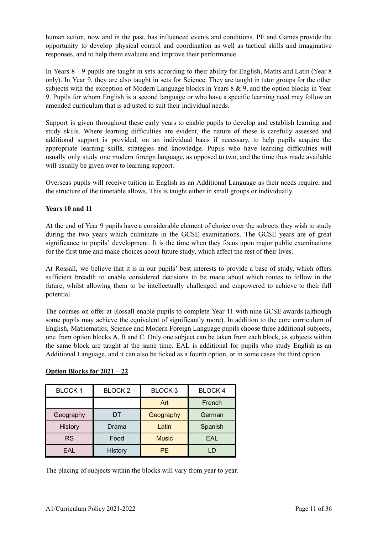human action, now and in the past, has influenced events and conditions. PE and Games provide the opportunity to develop physical control and coordination as well as tactical skills and imaginative responses, and to help them evaluate and improve their performance.

In Years 8 - 9 pupils are taught in sets according to their ability for English, Maths and Latin (Year 8 only). In Year 9, they are also taught in sets for Science. They are taught in tutor groups for the other subjects with the exception of Modern Language blocks in Years 8 & 9, and the option blocks in Year 9. Pupils for whom English is a second language or who have a specific learning need may follow an amended curriculum that is adjusted to suit their individual needs.

Support is given throughout these early years to enable pupils to develop and establish learning and study skills. Where learning difficulties are evident, the nature of these is carefully assessed and additional support is provided, on an individual basis if necessary, to help pupils acquire the appropriate learning skills, strategies and knowledge. Pupils who have learning difficulties will usually only study one modern foreign language, as opposed to two, and the time thus made available will usually be given over to learning support.

Overseas pupils will receive tuition in English as an Additional Language as their needs require, and the structure of the timetable allows. This is taught either in small groups or individually.

#### **Years 10 and 11**

At the end of Year 9 pupils have a considerable element of choice over the subjects they wish to study during the two years which culminate in the GCSE examinations. The GCSE years are of great significance to pupils' development. It is the time when they focus upon major public examinations for the first time and make choices about future study, which affect the rest of their lives.

At Rossall, we believe that it is in our pupils' best interests to provide a base of study, which offers sufficient breadth to enable considered decisions to be made about which routes to follow in the future, whilst allowing them to be intellectually challenged and empowered to achieve to their full potential.

The courses on offer at Rossall enable pupils to complete Year 11 with nine GCSE awards (although some pupils may achieve the equivalent of significantly more). In addition to the core curriculum of English, Mathematics, Science and Modern Foreign Language pupils choose three additional subjects, one from option blocks A, B and C. Only one subject can be taken from each block, as subjects within the same block are taught at the same time. EAL is additional for pupils who study English as an Additional Language, and it can also be ticked as a fourth option, or in some cases the third option.

| <b>BLOCK1</b> | <b>BLOCK2</b> | <b>BLOCK3</b> | <b>BLOCK4</b> |
|---------------|---------------|---------------|---------------|
|               |               | Art           | French        |
| Geography     | DT            | Geography     | German        |
| History       | Drama         | Latin         | Spanish       |
| <b>RS</b>     | Food          | <b>Music</b>  | EAL           |
| EAL           | History       | <b>PF</b>     | -D            |

#### **Option Blocks for 2021 – 22**

The placing of subjects within the blocks will vary from year to year.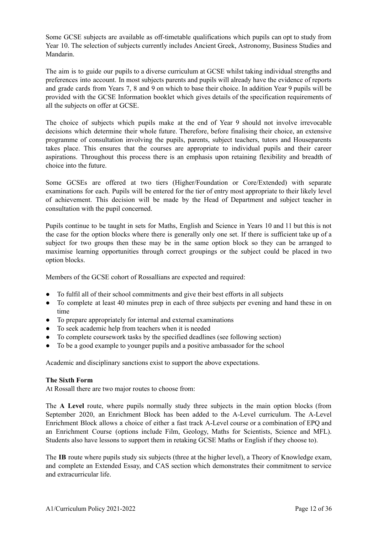Some GCSE subjects are available as off-timetable qualifications which pupils can opt to study from Year 10. The selection of subjects currently includes Ancient Greek, Astronomy, Business Studies and Mandarin.

The aim is to guide our pupils to a diverse curriculum at GCSE whilst taking individual strengths and preferences into account. In most subjects parents and pupils will already have the evidence of reports and grade cards from Years 7, 8 and 9 on which to base their choice. In addition Year 9 pupils will be provided with the GCSE Information booklet which gives details of the specification requirements of all the subjects on offer at GCSE.

The choice of subjects which pupils make at the end of Year 9 should not involve irrevocable decisions which determine their whole future. Therefore, before finalising their choice, an extensive programme of consultation involving the pupils, parents, subject teachers, tutors and Houseparents takes place. This ensures that the courses are appropriate to individual pupils and their career aspirations. Throughout this process there is an emphasis upon retaining flexibility and breadth of choice into the future.

Some GCSEs are offered at two tiers (Higher/Foundation or Core/Extended) with separate examinations for each. Pupils will be entered for the tier of entry most appropriate to their likely level of achievement. This decision will be made by the Head of Department and subject teacher in consultation with the pupil concerned.

Pupils continue to be taught in sets for Maths, English and Science in Years 10 and 11 but this is not the case for the option blocks where there is generally only one set. If there is sufficient take up of a subject for two groups then these may be in the same option block so they can be arranged to maximise learning opportunities through correct groupings or the subject could be placed in two option blocks.

Members of the GCSE cohort of Rossallians are expected and required:

- To fulfil all of their school commitments and give their best efforts in all subjects
- To complete at least 40 minutes prep in each of three subjects per evening and hand these in on time
- To prepare appropriately for internal and external examinations
- To seek academic help from teachers when it is needed
- To complete coursework tasks by the specified deadlines (see following section)
- To be a good example to younger pupils and a positive ambassador for the school

Academic and disciplinary sanctions exist to support the above expectations.

#### **The Sixth Form**

At Rossall there are two major routes to choose from:

The **A Level** route, where pupils normally study three subjects in the main option blocks (from September 2020, an Enrichment Block has been added to the A-Level curriculum. The A-Level Enrichment Block allows a choice of either a fast track A-Level course or a combination of EPQ and an Enrichment Course (options include Film, Geology, Maths for Scientists, Science and MFL). Students also have lessons to support them in retaking GCSE Maths or English if they choose to).

The **IB** route where pupils study six subjects (three at the higher level), a Theory of Knowledge exam, and complete an Extended Essay, and CAS section which demonstrates their commitment to service and extracurricular life.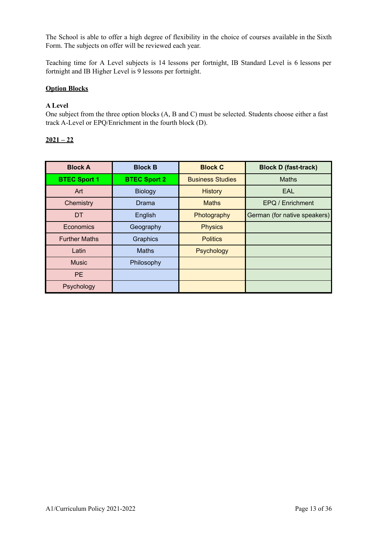The School is able to offer a high degree of flexibility in the choice of courses available in the Sixth Form. The subjects on offer will be reviewed each year.

Teaching time for A Level subjects is 14 lessons per fortnight, IB Standard Level is 6 lessons per fortnight and IB Higher Level is 9 lessons per fortnight.

#### **Option Blocks**

#### **A Level**

One subject from the three option blocks (A, B and C) must be selected. Students choose either a fast track A-Level or EPQ/Enrichment in the fourth block (D).

#### **2021 – 22**

| <b>Block A</b>       | <b>Block B</b>      | <b>Block C</b>          | <b>Block D (fast-track)</b>  |
|----------------------|---------------------|-------------------------|------------------------------|
| <b>BTEC Sport 1</b>  | <b>BTEC Sport 2</b> | <b>Business Studies</b> | <b>Maths</b>                 |
| Art                  | <b>Biology</b>      | <b>History</b>          | <b>EAL</b>                   |
| Chemistry            | Drama               | <b>Maths</b>            | EPQ / Enrichment             |
| DT                   | English             | Photography             | German (for native speakers) |
| Economics            | Geography           | <b>Physics</b>          |                              |
| <b>Further Maths</b> | Graphics            | <b>Politics</b>         |                              |
| Latin                | <b>Maths</b>        | Psychology              |                              |
| <b>Music</b>         | Philosophy          |                         |                              |
| <b>PE</b>            |                     |                         |                              |
| Psychology           |                     |                         |                              |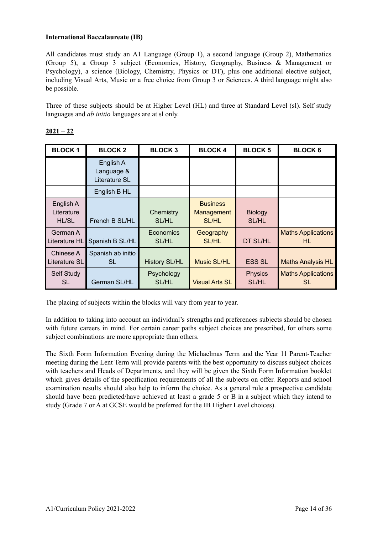#### **International Baccalaureate (IB)**

All candidates must study an A1 Language (Group 1), a second language (Group 2), Mathematics (Group 5), a Group 3 subject (Economics, History, Geography, Business & Management or Psychology), a science (Biology, Chemistry, Physics or DT), plus one additional elective subject, including Visual Arts, Music or a free choice from Group 3 or Sciences. A third language might also be possible.

Three of these subjects should be at Higher Level (HL) and three at Standard Level (sl). Self study languages and *ab initio* languages are at sl only.

| <b>BLOCK1</b>                           | <b>BLOCK2</b>                            | <b>BLOCK3</b>              | <b>BLOCK 4</b>                                | <b>BLOCK 5</b>          | <b>BLOCK 6</b>                   |
|-----------------------------------------|------------------------------------------|----------------------------|-----------------------------------------------|-------------------------|----------------------------------|
|                                         | English A<br>Language &<br>Literature SL |                            |                                               |                         |                                  |
|                                         | English B HL                             |                            |                                               |                         |                                  |
| English A<br>Literature<br><b>HL/SL</b> | French B SL/HL                           | Chemistry<br>SL/HL         | <b>Business</b><br>Management<br><b>SL/HL</b> | <b>Biology</b><br>SL/HL |                                  |
| German A<br>Literature HL               | Spanish B SL/HL                          | Economics<br>SL/HL         | Geography<br><b>SL/HL</b>                     | DT SL/HL                | <b>Maths Applications</b><br>HL  |
| Chinese A<br>Literature SL              | Spanish ab initio<br>SL                  | <b>History SL/HL</b>       | <b>Music SL/HL</b>                            | <b>ESS SL</b>           | <b>Maths Analysis HL</b>         |
| Self Study<br><b>SL</b>                 | German SL/HL                             | Psychology<br><b>SL/HL</b> | <b>Visual Arts SL</b>                         | <b>Physics</b><br>SL/HL | <b>Maths Applications</b><br>SL. |

#### **2021 – 22**

The placing of subjects within the blocks will vary from year to year.

In addition to taking into account an individual's strengths and preferences subjects should be chosen with future careers in mind. For certain career paths subject choices are prescribed, for others some subject combinations are more appropriate than others.

The Sixth Form Information Evening during the Michaelmas Term and the Year 11 Parent-Teacher meeting during the Lent Term will provide parents with the best opportunity to discuss subject choices with teachers and Heads of Departments, and they will be given the Sixth Form Information booklet which gives details of the specification requirements of all the subjects on offer. Reports and school examination results should also help to inform the choice. As a general rule a prospective candidate should have been predicted/have achieved at least a grade 5 or B in a subject which they intend to study (Grade 7 or A at GCSE would be preferred for the IB Higher Level choices).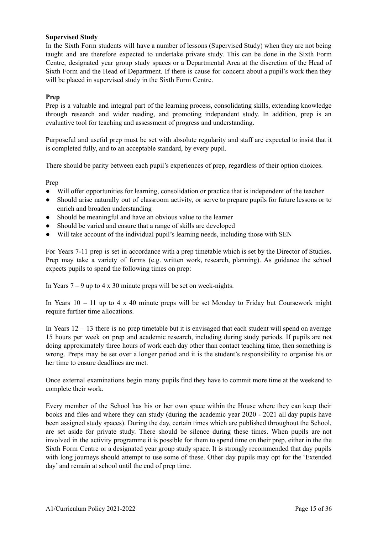#### **Supervised Study**

In the Sixth Form students will have a number of lessons (Supervised Study) when they are not being taught and are therefore expected to undertake private study. This can be done in the Sixth Form Centre, designated year group study spaces or a Departmental Area at the discretion of the Head of Sixth Form and the Head of Department. If there is cause for concern about a pupil's work then they will be placed in supervised study in the Sixth Form Centre.

#### **Prep**

Prep is a valuable and integral part of the learning process, consolidating skills, extending knowledge through research and wider reading, and promoting independent study. In addition, prep is an evaluative tool for teaching and assessment of progress and understanding.

Purposeful and useful prep must be set with absolute regularity and staff are expected to insist that it is completed fully, and to an acceptable standard, by every pupil.

There should be parity between each pupil's experiences of prep, regardless of their option choices.

Prep

- Will offer opportunities for learning, consolidation or practice that is independent of the teacher
- Should arise naturally out of classroom activity, or serve to prepare pupils for future lessons or to enrich and broaden understanding
- Should be meaningful and have an obvious value to the learner
- Should be varied and ensure that a range of skills are developed
- Will take account of the individual pupil's learning needs, including those with SEN

For Years 7-11 prep is set in accordance with a prep timetable which is set by the Director of Studies. Prep may take a variety of forms (e.g. written work, research, planning). As guidance the school expects pupils to spend the following times on prep:

In Years  $7 - 9$  up to  $4 \times 30$  minute preps will be set on week-nights.

In Years  $10 - 11$  up to 4 x 40 minute preps will be set Monday to Friday but Coursework might require further time allocations.

In Years 12 – 13 there is no prep timetable but it is envisaged that each student will spend on average 15 hours per week on prep and academic research, including during study periods. If pupils are not doing approximately three hours of work each day other than contact teaching time, then something is wrong. Preps may be set over a longer period and it is the student's responsibility to organise his or her time to ensure deadlines are met.

Once external examinations begin many pupils find they have to commit more time at the weekend to complete their work.

Every member of the School has his or her own space within the House where they can keep their books and files and where they can study (during the academic year 2020 - 2021 all day pupils have been assigned study spaces). During the day, certain times which are published throughout the School, are set aside for private study. There should be silence during these times. When pupils are not involved in the activity programme it is possible for them to spend time on their prep, either in the the Sixth Form Centre or a designated year group study space. It is strongly recommended that day pupils with long journeys should attempt to use some of these. Other day pupils may opt for the 'Extended day' and remain at school until the end of prep time.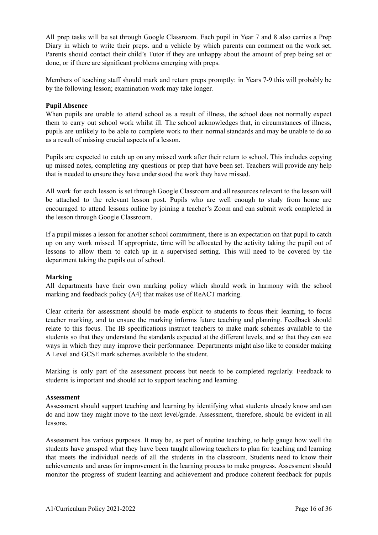All prep tasks will be set through Google Classroom. Each pupil in Year 7 and 8 also carries a Prep Diary in which to write their preps. and a vehicle by which parents can comment on the work set. Parents should contact their child's Tutor if they are unhappy about the amount of prep being set or done, or if there are significant problems emerging with preps.

Members of teaching staff should mark and return preps promptly: in Years 7-9 this will probably be by the following lesson; examination work may take longer.

#### **Pupil Absence**

When pupils are unable to attend school as a result of illness, the school does not normally expect them to carry out school work whilst ill. The school acknowledges that, in circumstances of illness, pupils are unlikely to be able to complete work to their normal standards and may be unable to do so as a result of missing crucial aspects of a lesson.

Pupils are expected to catch up on any missed work after their return to school. This includes copying up missed notes, completing any questions or prep that have been set. Teachers will provide any help that is needed to ensure they have understood the work they have missed.

All work for each lesson is set through Google Classroom and all resources relevant to the lesson will be attached to the relevant lesson post. Pupils who are well enough to study from home are encouraged to attend lessons online by joining a teacher's Zoom and can submit work completed in the lesson through Google Classroom.

If a pupil misses a lesson for another school commitment, there is an expectation on that pupil to catch up on any work missed. If appropriate, time will be allocated by the activity taking the pupil out of lessons to allow them to catch up in a supervised setting. This will need to be covered by the department taking the pupils out of school.

#### **Marking**

All departments have their own marking policy which should work in harmony with the school marking and feedback policy (A4) that makes use of ReACT marking.

Clear criteria for assessment should be made explicit to students to focus their learning, to focus teacher marking, and to ensure the marking informs future teaching and planning. Feedback should relate to this focus. The IB specifications instruct teachers to make mark schemes available to the students so that they understand the standards expected at the different levels, and so that they can see ways in which they may improve their performance. Departments might also like to consider making A Level and GCSE mark schemes available to the student.

Marking is only part of the assessment process but needs to be completed regularly. Feedback to students is important and should act to support teaching and learning.

#### **Assessment**

Assessment should support teaching and learning by identifying what students already know and can do and how they might move to the next level/grade. Assessment, therefore, should be evident in all lessons.

Assessment has various purposes. It may be, as part of routine teaching, to help gauge how well the students have grasped what they have been taught allowing teachers to plan for teaching and learning that meets the individual needs of all the students in the classroom. Students need to know their achievements and areas for improvement in the learning process to make progress. Assessment should monitor the progress of student learning and achievement and produce coherent feedback for pupils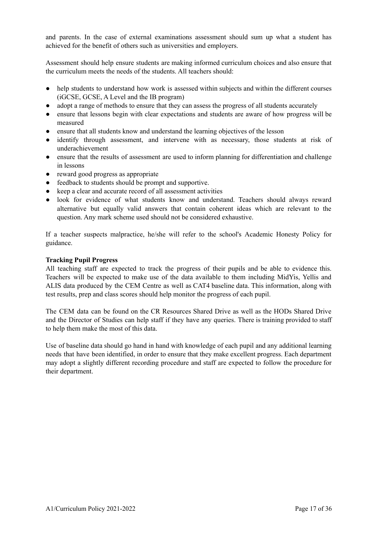and parents. In the case of external examinations assessment should sum up what a student has achieved for the benefit of others such as universities and employers.

Assessment should help ensure students are making informed curriculum choices and also ensure that the curriculum meets the needs of the students. All teachers should:

- help students to understand how work is assessed within subjects and within the different courses (iGCSE, GCSE, A Level and the IB program)
- adopt a range of methods to ensure that they can assess the progress of all students accurately
- ensure that lessons begin with clear expectations and students are aware of how progress will be measured
- ensure that all students know and understand the learning objectives of the lesson
- identify through assessment, and intervene with as necessary, those students at risk of underachievement
- ensure that the results of assessment are used to inform planning for differentiation and challenge in lessons
- reward good progress as appropriate
- feedback to students should be prompt and supportive.
- keep a clear and accurate record of all assessment activities
- look for evidence of what students know and understand. Teachers should always reward alternative but equally valid answers that contain coherent ideas which are relevant to the question. Any mark scheme used should not be considered exhaustive.

If a teacher suspects malpractice, he/she will refer to the school's Academic Honesty Policy for guidance.

#### **Tracking Pupil Progress**

All teaching staff are expected to track the progress of their pupils and be able to evidence this. Teachers will be expected to make use of the data available to them including MidYis, Yellis and ALIS data produced by the CEM Centre as well as CAT4 baseline data. This information, along with test results, prep and class scores should help monitor the progress of each pupil.

The CEM data can be found on the CR Resources Shared Drive as well as the HODs Shared Drive and the Director of Studies can help staff if they have any queries. There is training provided to staff to help them make the most of this data.

Use of baseline data should go hand in hand with knowledge of each pupil and any additional learning needs that have been identified, in order to ensure that they make excellent progress. Each department may adopt a slightly different recording procedure and staff are expected to follow the procedure for their department.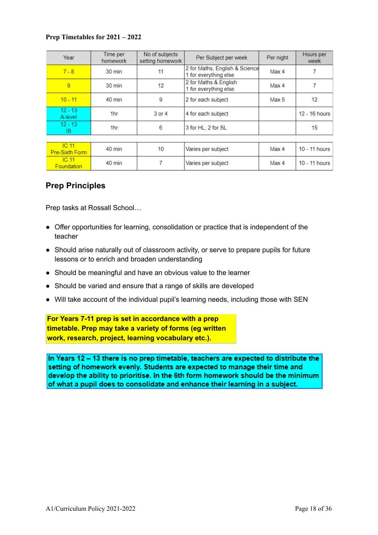#### **Prep Timetables for 2021 – 2022**

| Year                               | Time per<br>homework | No of subjects<br>setting homework | Per Subject per week                                    | Per night | Hours per<br>week |
|------------------------------------|----------------------|------------------------------------|---------------------------------------------------------|-----------|-------------------|
| $7 - 8$                            | 30 min               | 11                                 | 2 for Maths, English & Science<br>1 for everything else | Max 4     | 7                 |
| 9                                  | 30 min               | 12                                 | 2 for Maths & English<br>1 for everything else          | Max 4     | 7                 |
| $10 - 11$                          | 40 min               | 9                                  | 2 for each subject                                      | Max 5     | 12                |
| $12 - 13$<br>A-level               | 1hr                  | 3 or 4                             | 4 for each subject                                      |           | 12 - 16 hours     |
| $12 - 13$<br>IB                    | 1hr                  | 6                                  | 3 for HL, 2 for SL                                      |           | 15                |
|                                    |                      |                                    |                                                         |           |                   |
| IC <sub>11</sub><br>Pre-Sixth Form | 40 min               | 10                                 | Varies per subject                                      | Max 4     | 10 - 11 hours     |
| IC <sub>11</sub><br>Foundation     | 40 min               | 7                                  | Varies per subject                                      | Max 4     | 10 - 11 hours     |

### **Prep Principles**

Prep tasks at Rossall School…

- Offer opportunities for learning, consolidation or practice that is independent of the teacher
- Should arise naturally out of classroom activity, or serve to prepare pupils for future lessons or to enrich and broaden understanding
- Should be meaningful and have an obvious value to the learner
- Should be varied and ensure that a range of skills are developed
- Will take account of the individual pupil's learning needs, including those with SEN

**For Years 7-11 prep is set in accordance with a prep timetable. Prep may take a variety of forms (eg written work, research, project, learning vocabulary etc.).**

In Years 12 - 13 there is no prep timetable, teachers are expected to distribute the setting of homework evenly. Students are expected to manage their time and develop the ability to prioritise. In the 6th form homework should be the minimum of what a pupil does to consolidate and enhance their learning in a subject.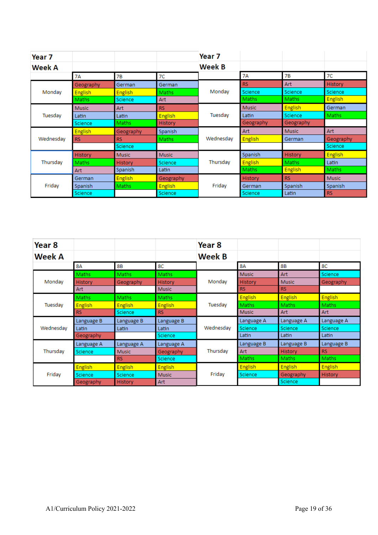| Year <sub>7</sub> |                |                |                  | Year 7    |                |                |                |
|-------------------|----------------|----------------|------------------|-----------|----------------|----------------|----------------|
| <b>Week A</b>     |                |                |                  | Week B    |                |                |                |
|                   | 7A             | 7В             | 7C               |           | <b>7A</b>      | <b>7B</b>      | 7C             |
|                   | Geography      | German         | German           |           | <b>RS</b>      | Art            | History        |
| Monday            | <b>English</b> | <b>English</b> | Maths            | Monday    | Science        | Science        | Science        |
|                   | Maths          | Science        | Art              |           | <b>Maths</b>   | <b>Maths</b>   | <b>English</b> |
|                   | <b>Music</b>   | Art            | <b>RS</b>        |           | <b>Music</b>   | <b>English</b> | German         |
| Tuesday           | Latin          | Latin          | <b>English</b>   | Tuesday   | Latin          | Science        | Maths          |
|                   | <b>Science</b> | Maths          | <b>History</b>   |           | Geography      | Geography      |                |
|                   | <b>English</b> | Geography      | Spanish          |           | Art            | <b>Music</b>   | Art            |
| Wednesday         | <b>RS</b>      | RS.            | Maths            | Wednesday | <b>English</b> | German         | Geography      |
|                   |                | Science        |                  |           |                |                | <b>Science</b> |
|                   | <b>History</b> | <b>Music</b>   | <b>Music</b>     |           | Spanish        | <b>History</b> | <b>English</b> |
| Thursday          | Maths          | History        | Science          | Thursday  | <b>English</b> | <b>Maths</b>   | Latin          |
|                   | Art            | Spanish        | Latin.           |           | <b>Maths</b>   | <b>English</b> | Maths          |
|                   | German         | <b>English</b> | <b>Geography</b> |           | History        | <b>RS</b>      | <b>Music</b>   |
| Friday            | Spanish        | Maths          | <b>English</b>   | Friday    | German         | Spanish        | Spanish        |
|                   | <b>Science</b> |                | <b>Science</b>   |           | <b>Science</b> | Latin          | <b>RS</b>      |

| Year <sub>8</sub> |                |                |                | Year <sub>8</sub> |                |                |                |
|-------------------|----------------|----------------|----------------|-------------------|----------------|----------------|----------------|
| Week A            |                |                |                | <b>Week B</b>     |                |                |                |
|                   | 8A             | 8B             | 8C             |                   | 8Α             | <b>8B</b>      | 8C             |
|                   | Maths          | Maths          | <b>Maths</b>   |                   | <b>Music</b>   | Art            | Science        |
| Monday            | <b>History</b> | Geography      | <b>History</b> | Monday            | <b>History</b> | <b>Music</b>   | Geography      |
|                   | Art            |                | <b>Music</b>   |                   | <b>RS</b>      | <b>RS</b>      |                |
|                   | Maths          | <b>Maths</b>   | <b>Maths</b>   |                   | <b>English</b> | <b>English</b> | <b>English</b> |
| Tuesday           | <b>English</b> | <b>English</b> | <b>English</b> | Tuesday           | Maths          | Maths          | Maths          |
|                   | <b>RS</b>      | <b>Science</b> | <b>RS</b>      |                   | <b>Music</b>   | Art            | Art            |
|                   | Language B     | Language B     | Language B     |                   | Language A     | Language A     | Language A     |
| Wednesday         | Latin          | Latin          | Latin          | Wednesday         | Science        | <b>Science</b> | <b>Science</b> |
|                   | Geography      |                | <b>Science</b> |                   | Latin          | Latin          | Latin          |
|                   | Language A     | Language A     | Language A     |                   | Language B     | Language B     | Language B     |
| Thursday          | Science,       | <b>Music</b>   | Geography      | Thursday          | Art            | <b>History</b> | <b>RS</b>      |
|                   |                | <b>RS</b>      | <b>Science</b> |                   | Maths          | Maths          | <b>Maths</b>   |
|                   | <b>English</b> | <b>English</b> | <b>English</b> |                   | <b>English</b> | <b>English</b> | <b>English</b> |
| Friday            | <b>Science</b> | Science        | <b>Music</b>   | Friday            | Science        | Geography      | History        |
|                   | Geography      | History        | Art            |                   |                | Science        |                |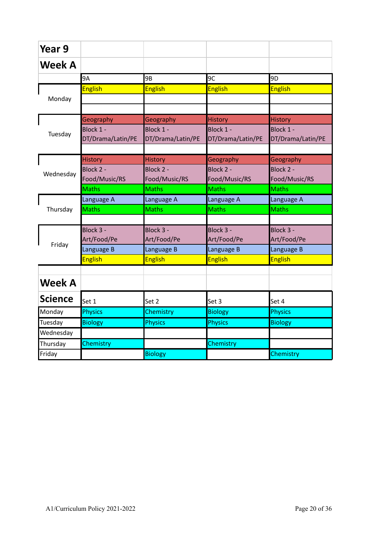| Year 9         |                   |                   |                   |                   |
|----------------|-------------------|-------------------|-------------------|-------------------|
| <b>Week A</b>  |                   |                   |                   |                   |
|                | 9A                | 9B                | 9C                | 9 <sub>D</sub>    |
|                | <b>English</b>    | <b>English</b>    | <b>English</b>    | <b>English</b>    |
| Monday         |                   |                   |                   |                   |
|                |                   |                   |                   |                   |
|                | Geography         | Geography         | <b>History</b>    | <b>History</b>    |
| Tuesday        | Block 1 -         | Block 1 -         | Block 1 -         | Block 1 -         |
|                | DT/Drama/Latin/PE | DT/Drama/Latin/PE | DT/Drama/Latin/PE | DT/Drama/Latin/PE |
|                |                   |                   |                   |                   |
|                | <b>History</b>    | <b>History</b>    | Geography         | Geography         |
| Wednesday      | Block 2 -         | Block 2 -         | Block 2 -         | Block 2 -         |
|                | Food/Music/RS     | Food/Music/RS     | Food/Music/RS     | Food/Music/RS     |
|                | <b>Maths</b>      | <b>Maths</b>      | <b>Maths</b>      | <b>Maths</b>      |
|                | Language A        | Language A        | Language A        | Language A        |
| Thursday       | <b>Maths</b>      | <b>Maths</b>      | <b>Maths</b>      | <b>Maths</b>      |
|                |                   |                   |                   |                   |
|                | Block 3 -         | Block 3 -         | Block 3 -         | Block 3 -         |
| Friday         | Art/Food/Pe       | Art/Food/Pe       | Art/Food/Pe       | Art/Food/Pe       |
|                | Language B        | Language B        | Language B        | Language B        |
|                | <b>English</b>    | <b>English</b>    | <b>English</b>    | <b>English</b>    |
|                |                   |                   |                   |                   |
| <b>Week A</b>  |                   |                   |                   |                   |
| <b>Science</b> | Set 1             | Set 2             | Set 3             | Set 4             |
| Monday         | <b>Physics</b>    | Chemistry         | <b>Biology</b>    | <b>Physics</b>    |
| Tuesday        | <b>Biology</b>    | <b>Physics</b>    | <b>Physics</b>    | <b>Biology</b>    |
| Wednesday      |                   |                   |                   |                   |
| Thursday       | Chemistry         |                   | Chemistry         |                   |
| Friday         |                   | <b>Biology</b>    |                   | Chemistry         |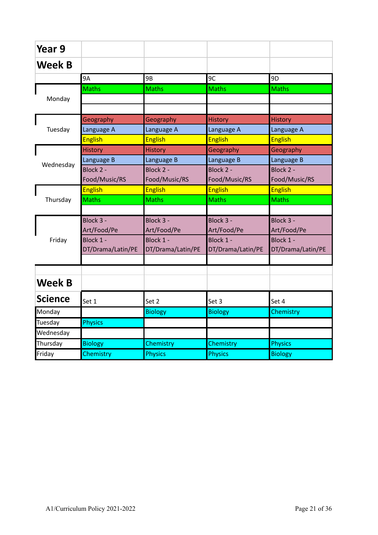| Year 9         |                   |                   |                   |                   |
|----------------|-------------------|-------------------|-------------------|-------------------|
| <b>Week B</b>  |                   |                   |                   |                   |
|                | 9A                | 9B                | 9C                | 9 <sub>D</sub>    |
|                | <b>Maths</b>      | <b>Maths</b>      | <b>Maths</b>      | <b>Maths</b>      |
| Monday         |                   |                   |                   |                   |
|                |                   |                   |                   |                   |
|                | Geography         | Geography         | <b>History</b>    | <b>History</b>    |
| Tuesday        | Language A        | Language A        | Language A        | Language A        |
|                | <b>English</b>    | <b>English</b>    | <b>English</b>    | <b>English</b>    |
|                | <b>History</b>    | <b>History</b>    | Geography         | Geography         |
| Wednesday      | Language B        | Language B        | Language B        | Language B        |
|                | Block 2 -         | Block 2 -         | Block 2 -         | Block 2 -         |
|                | Food/Music/RS     | Food/Music/RS     | Food/Music/RS     | Food/Music/RS     |
|                | <b>English</b>    | <b>English</b>    | <b>English</b>    | <b>English</b>    |
| Thursday       | <b>Maths</b>      | <b>Maths</b>      | <b>Maths</b>      | <b>Maths</b>      |
|                |                   |                   |                   |                   |
|                | Block 3 -         | Block 3 -         | Block 3 -         | Block 3 -         |
|                | Art/Food/Pe       | Art/Food/Pe       | Art/Food/Pe       | Art/Food/Pe       |
| Friday         | Block 1 -         | Block 1 -         | Block 1 -         | Block 1 -         |
|                | DT/Drama/Latin/PE | DT/Drama/Latin/PE | DT/Drama/Latin/PE | DT/Drama/Latin/PE |
|                |                   |                   |                   |                   |
|                |                   |                   |                   |                   |
| <b>Week B</b>  |                   |                   |                   |                   |
| <b>Science</b> | Set 1             | Set 2             | Set 3             | Set 4             |
| Monday         |                   | <b>Biology</b>    | <b>Biology</b>    | Chemistry         |
| Tuesday        | <b>Physics</b>    |                   |                   |                   |
| Wednesday      |                   |                   |                   |                   |
| Thursday       | <b>Biology</b>    | Chemistry         | Chemistry         | <b>Physics</b>    |
| Friday         | Chemistry         | <b>Physics</b>    | <b>Physics</b>    | <b>Biology</b>    |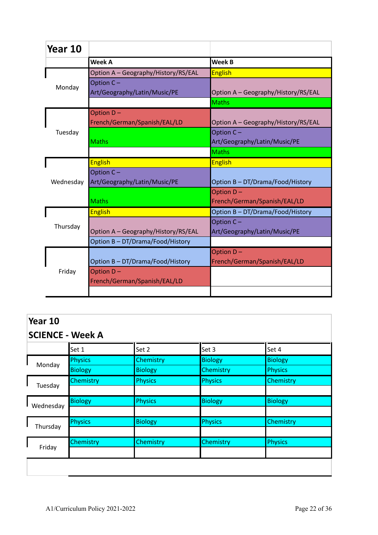| Year 10   |                                           |                                           |
|-----------|-------------------------------------------|-------------------------------------------|
|           | <b>Week A</b>                             | <b>Week B</b>                             |
|           | Option A - Geography/History/RS/EAL       | <b>English</b>                            |
| Monday    | Option C-<br>Art/Geography/Latin/Music/PE | Option A - Geography/History/RS/EAL       |
|           |                                           | <b>Maths</b>                              |
|           | Option D-<br>French/German/Spanish/EAL/LD | Option A - Geography/History/RS/EAL       |
| Tuesday   | <b>Maths</b>                              | Option C-<br>Art/Geography/Latin/Music/PE |
|           |                                           | <b>Maths</b>                              |
|           | <b>English</b>                            | <b>English</b>                            |
| Wednesday | Option C-<br>Art/Geography/Latin/Music/PE | Option B - DT/Drama/Food/History          |
|           | <b>Maths</b>                              | Option D-<br>French/German/Spanish/EAL/LD |
|           | <b>English</b>                            | Option B - DT/Drama/Food/History          |
| Thursday  | Option A - Geography/History/RS/EAL       | Option C-<br>Art/Geography/Latin/Music/PE |
|           | Option B - DT/Drama/Food/History          |                                           |
|           | Option B - DT/Drama/Food/History          | Option D-<br>French/German/Spanish/EAL/LD |
| Friday    | Option D-<br>French/German/Spanish/EAL/LD |                                           |
|           |                                           |                                           |

|                  | Year 10<br><b>SCIENCE - Week A</b>                                                                      |                                                                                            |  |
|------------------|---------------------------------------------------------------------------------------------------------|--------------------------------------------------------------------------------------------|--|
| Set 1            |                                                                                                         | Set 4                                                                                      |  |
| Physics          |                                                                                                         | <b>Biology</b>                                                                             |  |
| <b>Biology</b>   | Chemistry                                                                                               | <b>Physics</b>                                                                             |  |
| <b>Chemistry</b> |                                                                                                         | Chemistry                                                                                  |  |
|                  |                                                                                                         |                                                                                            |  |
| <b>Biology</b>   |                                                                                                         | <b>Biology</b>                                                                             |  |
|                  |                                                                                                         |                                                                                            |  |
| <b>Physics</b>   |                                                                                                         | Chemistry                                                                                  |  |
|                  |                                                                                                         |                                                                                            |  |
| Chemistry        |                                                                                                         | Physics                                                                                    |  |
|                  |                                                                                                         |                                                                                            |  |
|                  |                                                                                                         |                                                                                            |  |
|                  | Set 2<br>Chemistry<br><b>Biology</b><br><b>Physics</b><br><b>Physics</b><br><b>Biology</b><br>Chemistry | Set 3<br><b>Biology</b><br><b>Physics</b><br><b>Biology</b><br><b>Physics</b><br>Chemistry |  |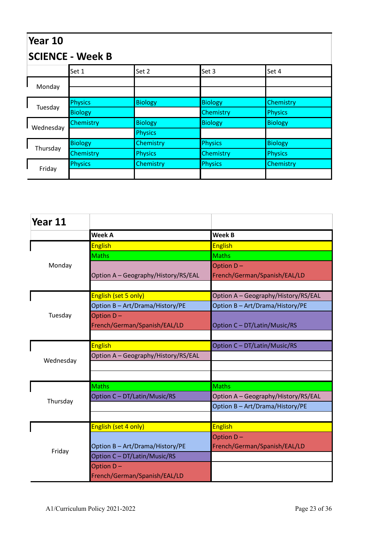| Year 10<br><b>SCIENCE - Week B</b> |                  |                |                |                |
|------------------------------------|------------------|----------------|----------------|----------------|
|                                    | Set 1            | Set 2          | Set 3          | Set 4          |
|                                    |                  |                |                |                |
| Monday                             |                  |                |                |                |
|                                    | Physics          | <b>Biology</b> | <b>Biology</b> | Chemistry      |
| Tuesday                            | <b>Biology</b>   |                | Chemistry      | Physics        |
|                                    | <b>Chemistry</b> | <b>Biology</b> | <b>Biology</b> | <b>Biology</b> |
| Wednesday                          |                  | <b>Physics</b> |                |                |
| Thursday                           | <b>Biology</b>   | Chemistry      | <b>Physics</b> | <b>Biology</b> |
|                                    | Chemistry        | <b>Physics</b> | Chemistry      | Physics        |
|                                    | Physics          | Chemistry      | <b>Physics</b> | Chemistry      |
| Friday                             |                  |                |                |                |

| Year 11   |                                     |                                     |
|-----------|-------------------------------------|-------------------------------------|
|           | <b>Week A</b>                       | <b>Week B</b>                       |
|           | <b>English</b>                      | <b>English</b>                      |
|           | <b>Maths</b>                        | <b>Maths</b>                        |
| Monday    |                                     | Option D-                           |
|           | Option A - Geography/History/RS/EAL | French/German/Spanish/EAL/LD        |
|           |                                     |                                     |
|           | English (set 5 only)                | Option A - Geography/History/RS/EAL |
|           | Option B - Art/Drama/History/PE     | Option B - Art/Drama/History/PE     |
| Tuesday   | Option D-                           |                                     |
|           | French/German/Spanish/EAL/LD        | Option C - DT/Latin/Music/RS        |
|           |                                     |                                     |
|           | <b>English</b>                      | Option C - DT/Latin/Music/RS        |
| Wednesday | Option A - Geography/History/RS/EAL |                                     |
|           |                                     |                                     |
|           |                                     |                                     |
|           | <b>Maths</b>                        | <b>Maths</b>                        |
| Thursday  | Option C - DT/Latin/Music/RS        | Option A - Geography/History/RS/EAL |
|           |                                     | Option B - Art/Drama/History/PE     |
|           |                                     |                                     |
|           | English (set 4 only)                | <b>English</b>                      |
|           |                                     | Option D-                           |
| Friday    | Option B - Art/Drama/History/PE     | French/German/Spanish/EAL/LD        |
|           | Option C - DT/Latin/Music/RS        |                                     |
|           | Option D-                           |                                     |
|           | French/German/Spanish/EAL/LD        |                                     |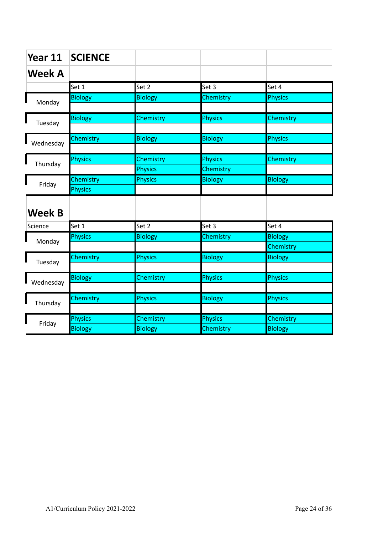| Year 11       | <b>SCIENCE</b> |                |                |                |
|---------------|----------------|----------------|----------------|----------------|
| <b>Week A</b> |                |                |                |                |
|               | Set 1          | Set 2          | Set 3          | Set 4          |
| Monday        | <b>Biology</b> | <b>Biology</b> | Chemistry      | <b>Physics</b> |
| Tuesday       | <b>Biology</b> | Chemistry      | <b>Physics</b> | Chemistry      |
|               |                |                |                |                |
| Wednesday     | Chemistry      | <b>Biology</b> | <b>Biology</b> | <b>Physics</b> |
|               | Physics        | Chemistry      | <b>Physics</b> | Chemistry      |
| Thursday      |                | <b>Physics</b> | Chemistry      |                |
| Friday        | Chemistry      | <b>Physics</b> | <b>Biology</b> | <b>Biology</b> |
|               | <b>Physics</b> |                |                |                |
|               |                |                |                |                |
| <b>Week B</b> |                |                |                |                |
| Science       | Set 1          | Set 2          | Set 3          | Set 4          |
| Monday        | <b>Physics</b> | <b>Biology</b> | Chemistry      | <b>Biology</b> |
|               |                |                |                | Chemistry      |
| Tuesday       | Chemistry      | <b>Physics</b> | <b>Biology</b> | <b>Biology</b> |
|               |                |                |                |                |
| Wednesday     | <b>Biology</b> | Chemistry      | <b>Physics</b> | <b>Physics</b> |
|               |                |                |                |                |
| Thursday      | Chemistry      | <b>Physics</b> | <b>Biology</b> | <b>Physics</b> |
|               |                |                |                |                |
| Friday        | <b>Physics</b> | Chemistry      | Physics        | Chemistry      |
|               | <b>Biology</b> | <b>Biology</b> | Chemistry      | <b>Biology</b> |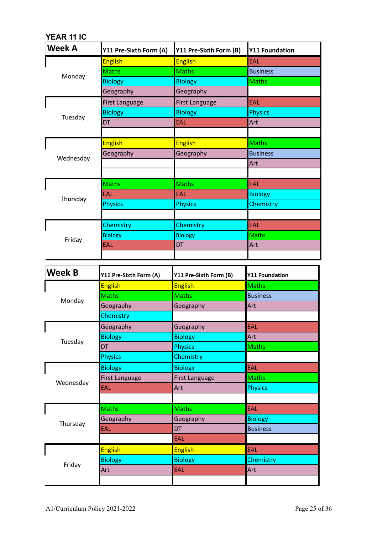| YEAR 11 IC    |                        |                        |                       |
|---------------|------------------------|------------------------|-----------------------|
| Week A        | Y11 Pre-Sixth Form (A) | Y11 Pre-Sixth Form (B) | <b>Y11 Foundation</b> |
|               | <b>English</b>         | <b>English</b>         | <b>EAL</b>            |
| Monday        | <b>Maths</b>           | <b>Maths</b>           | <b>Business</b>       |
|               | <b>Biology</b>         | <b>Biology</b>         | <b>Maths</b>          |
|               | Geography              | Geography              |                       |
|               | <b>First Language</b>  | <b>First Language</b>  | <b>EAL</b>            |
|               | <b>Biology</b>         | <b>Biology</b>         | <b>Physics</b>        |
| Tuesday       | <b>DT</b>              | <b>EAL</b>             | Art                   |
|               |                        |                        |                       |
|               | <b>English</b>         | <b>English</b>         | <b>Maths</b>          |
| Wednesday     | Geography              | Geography              | <b>Business</b>       |
|               |                        |                        | Art                   |
|               |                        |                        |                       |
|               | <b>Maths</b>           | <b>Maths</b>           | EAL                   |
|               | EAL                    | EAL                    | <b>Biology</b>        |
| Thursday      | <b>Physics</b>         | <b>Physics</b>         | Chemistry             |
|               |                        |                        |                       |
|               | Chemistry              | Chemistry              | <b>EAL</b>            |
|               | <b>Biology</b>         | <b>Biology</b>         | <b>Maths</b>          |
| Friday        | EAL                    | <b>DT</b>              | Art                   |
|               |                        |                        |                       |
|               |                        |                        |                       |
|               |                        |                        |                       |
|               | Y11 Pre-Sixth Form (A) | Y11 Pre-Sixth Form (B) | <b>Y11 Foundation</b> |
| <b>Week B</b> | <b>English</b>         | <b>English</b>         | <b>Maths</b>          |
|               | <b>Maths</b>           | Maths                  | <b>Business</b>       |
| Monday        | Geography              | Geography              | Art                   |
|               | <b>Chemistry</b>       |                        |                       |
|               | Geography              | Geography              | EAL                   |
|               | <b>Biology</b>         | <b>Biology</b>         | Art                   |
| Tuesday       | DT                     | <b>Physics</b>         | <b>Maths</b>          |
|               | <b>Physics</b>         | Chemistry              |                       |
|               | <b>Biology</b>         | <b>Biology</b>         | EAL                   |
|               | <b>First Language</b>  | <b>First Language</b>  | <b>Maths</b>          |
| Wednesday     | EAL                    | Art                    | <b>Physics</b>        |
|               |                        |                        |                       |
|               | <b>Maths</b>           | <b>Maths</b>           | EAL                   |
|               | Geography              | Geography              | <b>Biology</b>        |
| Thursday      | EAL                    | DT                     | <b>Business</b>       |
|               |                        | EAL                    |                       |
|               | <b>English</b>         | <b>English</b>         | EAL                   |
|               | <b>Biology</b>         | <b>Biology</b>         | Chemistry             |
| Friday        | Art                    | EAL                    | Art                   |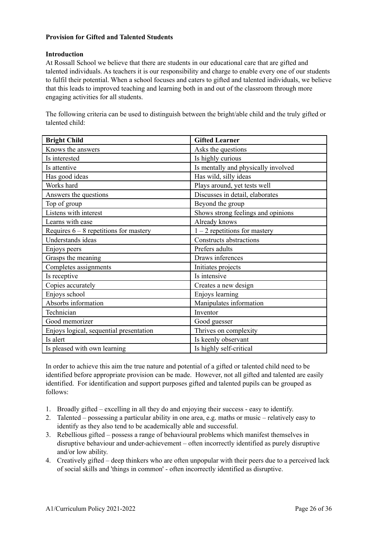#### **Provision for Gifted and Talented Students**

#### **Introduction**

At Rossall School we believe that there are students in our educational care that are gifted and talented individuals. As teachers it is our responsibility and charge to enable every one of our students to fulfil their potential. When a school focuses and caters to gifted and talented individuals, we believe that this leads to improved teaching and learning both in and out of the classroom through more engaging activities for all students.

The following criteria can be used to distinguish between the bright/able child and the truly gifted or talented child:

| <b>Bright Child</b>                        | <b>Gifted Learner</b>               |
|--------------------------------------------|-------------------------------------|
| Knows the answers                          | Asks the questions                  |
| Is interested                              | Is highly curious                   |
| Is attentive                               | Is mentally and physically involved |
| Has wild, silly ideas<br>Has good ideas    |                                     |
| Works hard<br>Plays around, yet tests well |                                     |
| Answers the questions                      | Discusses in detail, elaborates     |
| Top of group                               | Beyond the group                    |
| Listens with interest                      | Shows strong feelings and opinions  |
| Learns with ease                           | Already knows                       |
| Requires $6 - 8$ repetitions for mastery   | $1 - 2$ repetitions for mastery     |
| Understands ideas                          | Constructs abstractions             |
| Enjoys peers                               | Prefers adults                      |
| Grasps the meaning                         | Draws inferences                    |
| Completes assignments                      | Initiates projects                  |
| Is receptive                               | Is intensive                        |
| Copies accurately                          | Creates a new design                |
| Enjoys school                              | Enjoys learning                     |
| Absorbs information                        | Manipulates information             |
| Technician                                 | Inventor                            |
| Good memorizer                             | Good guesser                        |
| Enjoys logical, sequential presentation    | Thrives on complexity               |
| Is alert                                   | Is keenly observant                 |
| Is pleased with own learning               | Is highly self-critical             |

In order to achieve this aim the true nature and potential of a gifted or talented child need to be identified before appropriate provision can be made. However, not all gifted and talented are easily identified. For identification and support purposes gifted and talented pupils can be grouped as follows:

- 1. Broadly gifted excelling in all they do and enjoying their success easy to identify.
- 2. Talented possessing a particular ability in one area, e.g. maths or music relatively easy to identify as they also tend to be academically able and successful.
- 3. Rebellious gifted possess a range of behavioural problems which manifest themselves in disruptive behaviour and under-achievement – often incorrectly identified as purely disruptive and/or low ability.
- 4. Creatively gifted deep thinkers who are often unpopular with their peers due to a perceived lack of social skills and 'things in common' - often incorrectly identified as disruptive.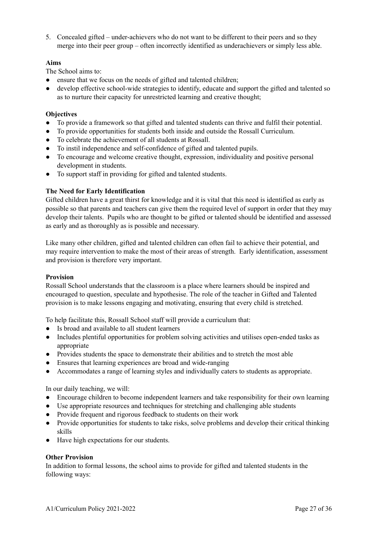5. Concealed gifted – under-achievers who do not want to be different to their peers and so they merge into their peer group – often incorrectly identified as underachievers or simply less able.

#### **Aims**

The School aims to:

- ensure that we focus on the needs of gifted and talented children;
- develop effective school-wide strategies to identify, educate and support the gifted and talented so as to nurture their capacity for unrestricted learning and creative thought;

#### **Objectives**

- *●* To provide a framework so that gifted and talented students can thrive and fulfil their potential.
- *●* To provide opportunities for students both inside and outside the Rossall Curriculum.
- *●* To celebrate the achievement of all students at Rossall.
- *●* To instil independence and self-confidence of gifted and talented pupils.
- *●* To encourage and welcome creative thought, expression, individuality and positive personal development in students.
- *●* To support staff in providing for gifted and talented students.

#### **The Need for Early Identification**

Gifted children have a great thirst for knowledge and it is vital that this need is identified as early as possible so that parents and teachers can give them the required level of support in order that they may develop their talents. Pupils who are thought to be gifted or talented should be identified and assessed as early and as thoroughly as is possible and necessary.

Like many other children, gifted and talented children can often fail to achieve their potential, and may require intervention to make the most of their areas of strength. Early identification, assessment and provision is therefore very important.

#### **Provision**

Rossall School understands that the classroom is a place where learners should be inspired and encouraged to question, speculate and hypothesise. The role of the teacher in Gifted and Talented provision is to make lessons engaging and motivating, ensuring that every child is stretched.

To help facilitate this, Rossall School staff will provide a curriculum that:

- Is broad and available to all student learners
- Includes plentiful opportunities for problem solving activities and utilises open-ended tasks as appropriate
- Provides students the space to demonstrate their abilities and to stretch the most able
- Ensures that learning experiences are broad and wide-ranging
- Accommodates a range of learning styles and individually caters to students as appropriate.

In our daily teaching, we will:

- Encourage children to become independent learners and take responsibility for their own learning
- Use appropriate resources and techniques for stretching and challenging able students
- Provide frequent and rigorous feedback to students on their work
- Provide opportunities for students to take risks, solve problems and develop their critical thinking skills
- Have high expectations for our students.

#### **Other Provision**

In addition to formal lessons, the school aims to provide for gifted and talented students in the following ways: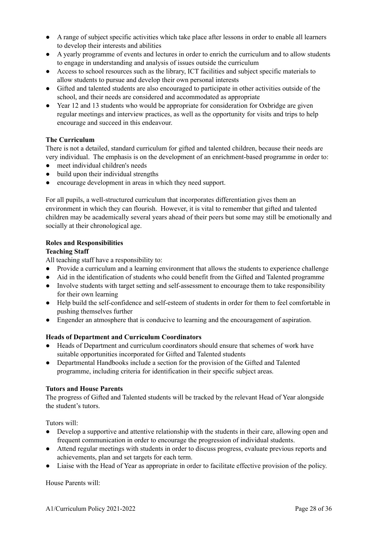- *●* A range of subject specific activities which take place after lessons in order to enable all learners to develop their interests and abilities
- *●* A yearly programme of events and lectures in order to enrich the curriculum and to allow students to engage in understanding and analysis of issues outside the curriculum
- *●* Access to school resources such as the library, ICT facilities and subject specific materials to allow students to pursue and develop their own personal interests
- *●* Gifted and talented students are also encouraged to participate in other activities outside of the school, and their needs are considered and accommodated as appropriate
- *●* Year 12 and 13 students who would be appropriate for consideration for Oxbridge are given regular meetings and interview practices, as well as the opportunity for visits and trips to help encourage and succeed in this endeavour.

#### **The Curriculum**

There is not a detailed, standard curriculum for gifted and talented children, because their needs are very individual. The emphasis is on the development of an enrichment-based programme in order to:

- meet individual children's needs
- build upon their individual strengths
- encourage development in areas in which they need support.

For all pupils, a well-structured curriculum that incorporates differentiation gives them an environment in which they can flourish. However, it is vital to remember that gifted and talented children may be academically several years ahead of their peers but some may still be emotionally and socially at their chronological age.

#### **Roles and Responsibilities**

#### **Teaching Staff**

All teaching staff have a responsibility to:

- Provide a curriculum and a learning environment that allows the students to experience challenge
- Aid in the identification of students who could benefit from the Gifted and Talented programme
- Involve students with target setting and self-assessment to encourage them to take responsibility for their own learning
- Help build the self-confidence and self-esteem of students in order for them to feel comfortable in pushing themselves further
- Engender an atmosphere that is conducive to learning and the encouragement of aspiration.

#### **Heads of Department and Curriculum Coordinators**

- Heads of Department and curriculum coordinators should ensure that schemes of work have suitable opportunities incorporated for Gifted and Talented students
- Departmental Handbooks include a section for the provision of the Gifted and Talented programme, including criteria for identification in their specific subject areas.

#### **Tutors and House Parents**

The progress of Gifted and Talented students will be tracked by the relevant Head of Year alongside the student's tutors.

Tutors will:

- *●* Develop a supportive and attentive relationship with the students in their care, allowing open and frequent communication in order to encourage the progression of individual students.
- Attend regular meetings with students in order to discuss progress, evaluate previous reports and achievements, plan and set targets for each term.
- Liaise with the Head of Year as appropriate in order to facilitate effective provision of the policy.

House Parents will: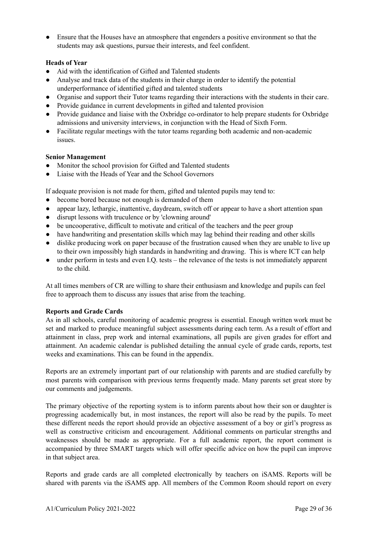● Ensure that the Houses have an atmosphere that engenders a positive environment so that the students may ask questions, pursue their interests, and feel confident.

#### **Heads of Year**

- Aid with the identification of Gifted and Talented students
- Analyse and track data of the students in their charge in order to identify the potential underperformance of identified gifted and talented students
- Organise and support their Tutor teams regarding their interactions with the students in their care.
- Provide guidance in current developments in gifted and talented provision
- Provide guidance and liaise with the Oxbridge co-ordinator to help prepare students for Oxbridge admissions and university interviews, in conjunction with the Head of Sixth Form.
- Facilitate regular meetings with the tutor teams regarding both academic and non-academic issues.

#### **Senior Management**

- Monitor the school provision for Gifted and Talented students
- Liaise with the Heads of Year and the School Governors

If adequate provision is not made for them, gifted and talented pupils may tend to:

- become bored because not enough is demanded of them
- appear lazy, lethargic, inattentive, daydream, switch off or appear to have a short attention span
- disrupt lessons with truculence or by 'clowning around'
- be uncooperative, difficult to motivate and critical of the teachers and the peer group
- have handwriting and presentation skills which may lag behind their reading and other skills
- dislike producing work on paper because of the frustration caused when they are unable to live up to their own impossibly high standards in handwriting and drawing. This is where ICT can help
- under perform in tests and even I.Q. tests the relevance of the tests is not immediately apparent to the child.

At all times members of CR are willing to share their enthusiasm and knowledge and pupils can feel free to approach them to discuss any issues that arise from the teaching.

#### **Reports and Grade Cards**

As in all schools, careful monitoring of academic progress is essential. Enough written work must be set and marked to produce meaningful subject assessments during each term. As a result of effort and attainment in class, prep work and internal examinations, all pupils are given grades for effort and attainment. An academic calendar is published detailing the annual cycle of grade cards, reports, test weeks and examinations. This can be found in the appendix.

Reports are an extremely important part of our relationship with parents and are studied carefully by most parents with comparison with previous terms frequently made. Many parents set great store by our comments and judgements.

The primary objective of the reporting system is to inform parents about how their son or daughter is progressing academically but, in most instances, the report will also be read by the pupils. To meet these different needs the report should provide an objective assessment of a boy or girl's progress as well as constructive criticism and encouragement. Additional comments on particular strengths and weaknesses should be made as appropriate. For a full academic report, the report comment is accompanied by three SMART targets which will offer specific advice on how the pupil can improve in that subject area.

Reports and grade cards are all completed electronically by teachers on iSAMS. Reports will be shared with parents via the iSAMS app. All members of the Common Room should report on every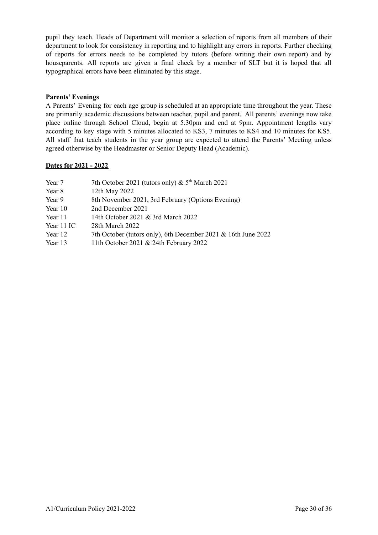pupil they teach. Heads of Department will monitor a selection of reports from all members of their department to look for consistency in reporting and to highlight any errors in reports. Further checking of reports for errors needs to be completed by tutors (before writing their own report) and by houseparents. All reports are given a final check by a member of SLT but it is hoped that all typographical errors have been eliminated by this stage.

#### **Parents' Evenings**

A Parents' Evening for each age group is scheduled at an appropriate time throughout the year. These are primarily academic discussions between teacher, pupil and parent. All parents' evenings now take place online through School Cloud, begin at 5.30pm and end at 9pm. Appointment lengths vary according to key stage with 5 minutes allocated to KS3, 7 minutes to KS4 and 10 minutes for KS5. All staff that teach students in the year group are expected to attend the Parents' Meeting unless agreed otherwise by the Headmaster or Senior Deputy Head (Academic).

#### **Dates for 2021 - 2022**

- Year 7 7th October 2021 (tutors only)  $\&$  5<sup>th</sup> March 2021
- Year 8 12th May 2022
- Year 9 8th November 2021, 3rd February (Options Evening)
- Year 10 2nd December 2021
- Year 11 14th October 2021 & 3rd March 2022
- Year 11 IC 28th March 2022
- Year 12 7th October (tutors only), 6th December 2021 & 16th June 2022
- Year 13 11th October 2021 & 24th February 2022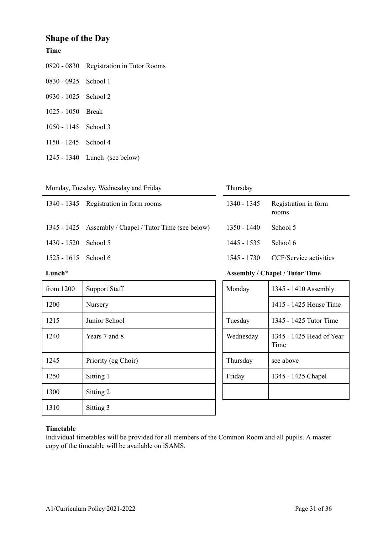## **Shape of the Day**

#### **Time**

|                        | 0820 - 0830 Registration in Tutor Rooms |
|------------------------|-----------------------------------------|
| 0830 - 0925 School 1   |                                         |
| 0930 - 1025 School 2   |                                         |
| 1025 - 1050 Break      |                                         |
| $1050 - 1145$ School 3 |                                         |

- 1245 School 4
- 1340 Lunch (see below)

| Monday, Tuesday, Wednesday and Friday |  |
|---------------------------------------|--|
|---------------------------------------|--|

|                      | 1340 - 1345 Registration in form rooms                 | 1340 - 1345 | Registration in form<br>rooms |
|----------------------|--------------------------------------------------------|-------------|-------------------------------|
|                      | 1345 - 1425 Assembly / Chapel / Tutor Time (see below) | 1350 - 1440 | School 5                      |
| 1430 - 1520 School 5 |                                                        | 1445 - 1535 | School 6                      |
| 1525 - 1615 School 6 |                                                        | 1545 - 1730 | CCF/Service activities        |
|                      |                                                        |             |                               |

Thursday

| from $1200$ | <b>Support Staff</b> | Monday    | 1345 - 1410 Assembly             |
|-------------|----------------------|-----------|----------------------------------|
| 1200        | Nursery              |           | 1415 - 1425 House Time           |
| 1215        | Junior School        | Tuesday   | 1345 - 1425 Tutor Time           |
| 1240        | Years 7 and 8        | Wednesday | 1345 - 1425 Head of Year<br>Time |
| 1245        | Priority (eg Choir)  | Thursday  | see above                        |
| 1250        | Sitting 1            | Friday    | 1345 - 1425 Chapel               |
| 1300        | Sitting 2            |           |                                  |
| 1310        | Sitting 3            |           |                                  |

# **Lunch\* Assembly / Chapel / Tutor Time**

| Monday    | 1345 - 1410 Assembly             |
|-----------|----------------------------------|
|           | 1415 - 1425 House Time           |
| Tuesday   | 1345 - 1425 Tutor Time           |
| Wednesday | 1345 - 1425 Head of Year<br>Time |
| Thursday  | see above                        |
| Friday    | 1345 - 1425 Chapel               |
|           |                                  |

#### **Timetable**

Individual timetables will be provided for all members of the Common Room and all pupils. A master copy of the timetable will be available on iSAMS.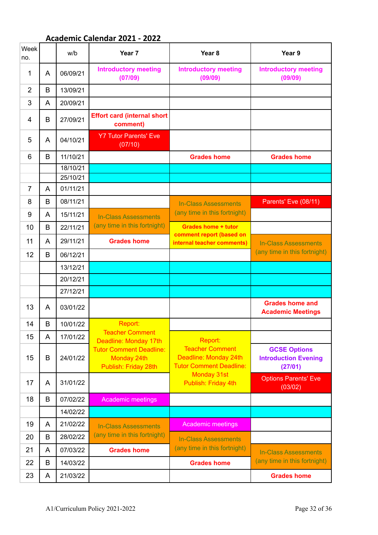# **Academic Calendar 2021 - 2022**

| Week<br>no.    |   | w/b      | Year <sub>7</sub>                                                     | Year <sub>8</sub>                                                                 | Year 9                                                        |
|----------------|---|----------|-----------------------------------------------------------------------|-----------------------------------------------------------------------------------|---------------------------------------------------------------|
| 1              | A | 06/09/21 | <b>Introductory meeting</b><br>(07/09)                                | <b>Introductory meeting</b><br>(09/09)                                            | <b>Introductory meeting</b><br>(09/09)                        |
| 2              | B | 13/09/21 |                                                                       |                                                                                   |                                                               |
| 3              | A | 20/09/21 |                                                                       |                                                                                   |                                                               |
| 4              | B | 27/09/21 | <b>Effort card (internal short</b><br>comment)                        |                                                                                   |                                                               |
| 5              | A | 04/10/21 | <b>Y7 Tutor Parents' Eve</b><br>(07/10)                               |                                                                                   |                                                               |
| 6              | B | 11/10/21 |                                                                       | <b>Grades home</b>                                                                | <b>Grades home</b>                                            |
|                |   | 18/10/21 |                                                                       |                                                                                   |                                                               |
|                |   | 25/10/21 |                                                                       |                                                                                   |                                                               |
| $\overline{7}$ | A | 01/11/21 |                                                                       |                                                                                   |                                                               |
| 8              | B | 08/11/21 |                                                                       | <b>In-Class Assessments</b>                                                       | Parents' Eve (08/11)                                          |
| 9              | A | 15/11/21 | <b>In-Class Assessments</b>                                           | (any time in this fortnight)                                                      |                                                               |
| 10             | B | 22/11/21 | (any time in this fortnight)                                          | <b>Grades home + tutor</b>                                                        |                                                               |
| 11             | A | 29/11/21 | <b>Grades home</b>                                                    | comment report (based on<br>internal teacher comments)                            | <b>In-Class Assessments</b>                                   |
| 12             | B | 06/12/21 |                                                                       |                                                                                   | (any time in this fortnight)                                  |
|                |   | 13/12/21 |                                                                       |                                                                                   |                                                               |
|                |   | 20/12/21 |                                                                       |                                                                                   |                                                               |
|                |   | 27/12/21 |                                                                       |                                                                                   |                                                               |
| 13             | A | 03/01/22 |                                                                       |                                                                                   | <b>Grades home and</b><br><b>Academic Meetings</b>            |
| 14             | B | 10/01/22 | Report:                                                               |                                                                                   |                                                               |
| 15             | A | 17/01/22 | <b>Teacher Comment</b><br>Deadline: Monday 17th                       | Report:                                                                           |                                                               |
| 15             | B | 24/01/22 | <b>Tutor Comment Deadline:</b><br>Monday 24th<br>Publish: Friday 28th | <b>Teacher Comment</b><br>Deadline: Monday 24th<br><b>Tutor Comment Deadline:</b> | <b>GCSE Options</b><br><b>Introduction Evening</b><br>(27/01) |
| 17             | A | 31/01/22 |                                                                       | <b>Monday 31st</b><br>Publish: Friday 4th                                         | <b>Options Parents' Eve</b><br>(03/02)                        |
| 18             | B | 07/02/22 | <b>Academic meetings</b>                                              |                                                                                   |                                                               |
|                |   | 14/02/22 |                                                                       |                                                                                   |                                                               |
| 19             | A | 21/02/22 | <b>In-Class Assessments</b>                                           | <b>Academic meetings</b>                                                          |                                                               |
| 20             | B | 28/02/22 | (any time in this fortnight)                                          | <b>In-Class Assessments</b>                                                       |                                                               |
| 21             | A | 07/03/22 | <b>Grades home</b>                                                    | (any time in this fortnight)                                                      | <b>In-Class Assessments</b>                                   |
| 22             | B | 14/03/22 |                                                                       | <b>Grades home</b>                                                                | (any time in this fortnight)                                  |
| 23             | A | 21/03/22 |                                                                       |                                                                                   | <b>Grades home</b>                                            |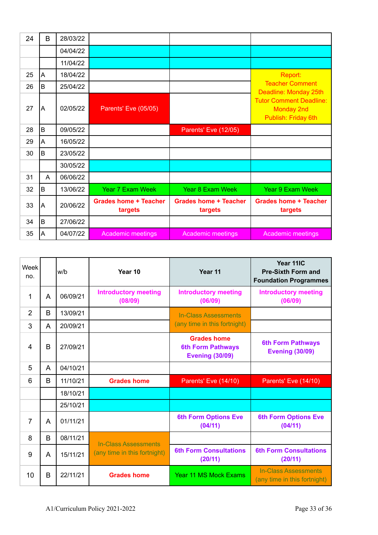| 24 | B | 28/03/22 |                                         |                                         |                                                                            |
|----|---|----------|-----------------------------------------|-----------------------------------------|----------------------------------------------------------------------------|
|    |   | 04/04/22 |                                         |                                         |                                                                            |
|    |   | 11/04/22 |                                         |                                         |                                                                            |
| 25 | A | 18/04/22 |                                         |                                         | Report:                                                                    |
| 26 | B | 25/04/22 |                                         |                                         | <b>Teacher Comment</b><br>Deadline: Monday 25th                            |
| 27 | A | 02/05/22 | Parents' Eve (05/05)                    |                                         | <b>Tutor Comment Deadline:</b><br><b>Monday 2nd</b><br>Publish: Friday 6th |
| 28 | B | 09/05/22 |                                         | Parents' Eve (12/05)                    |                                                                            |
| 29 | A | 16/05/22 |                                         |                                         |                                                                            |
| 30 | B | 23/05/22 |                                         |                                         |                                                                            |
|    |   | 30/05/22 |                                         |                                         |                                                                            |
| 31 | A | 06/06/22 |                                         |                                         |                                                                            |
| 32 | B | 13/06/22 | <b>Year 7 Exam Week</b>                 | <b>Year 8 Exam Week</b>                 | <b>Year 9 Exam Week</b>                                                    |
| 33 | A | 20/06/22 | <b>Grades home + Teacher</b><br>targets | <b>Grades home + Teacher</b><br>targets | <b>Grades home + Teacher</b><br>targets                                    |
| 34 | B | 27/06/22 |                                         |                                         |                                                                            |
| 35 | A | 04/07/22 | Academic meetings                       | Academic meetings                       | Academic meetings                                                          |

| Week<br>no. |              | w/b      | Year 10                                | Year 11                                                                  | Year 11IC<br><b>Pre-Sixth Form and</b><br><b>Foundation Programmes</b> |
|-------------|--------------|----------|----------------------------------------|--------------------------------------------------------------------------|------------------------------------------------------------------------|
| 1           | A            | 06/09/21 | <b>Introductory meeting</b><br>(08/09) | <b>Introductory meeting</b><br>(06/09)                                   | <b>Introductory meeting</b><br>(06/09)                                 |
| 2           | B            | 13/09/21 |                                        | <b>In-Class Assessments</b>                                              |                                                                        |
| 3           | A            | 20/09/21 |                                        | (any time in this fortnight)                                             |                                                                        |
| 4           | <sub>R</sub> | 27/09/21 |                                        | <b>Grades home</b><br><b>6th Form Pathways</b><br><b>Evening (30/09)</b> | <b>6th Form Pathways</b><br><b>Evening (30/09)</b>                     |
| 5           | A            | 04/10/21 |                                        |                                                                          |                                                                        |
| 6           | B            | 11/10/21 | <b>Grades home</b>                     | Parents' Eve (14/10)                                                     | Parents' Eve (14/10)                                                   |
|             |              | 18/10/21 |                                        |                                                                          |                                                                        |
|             |              | 25/10/21 |                                        |                                                                          |                                                                        |
| 7           | A            | 01/11/21 |                                        | <b>6th Form Options Eve</b><br>(04/11)                                   | <b>6th Form Options Eve</b><br>(04/11)                                 |
| 8           | B            | 08/11/21 | In-Class Assessments                   |                                                                          |                                                                        |
| 9           | A            | 15/11/21 | (any time in this fortnight)           | <b>6th Form Consultations</b><br>(20/11)                                 | <b>6th Form Consultations</b><br>(20/11)                               |
| 10          | B            | 22/11/21 | <b>Grades home</b>                     | <b>Year 11 MS Mock Exams</b>                                             | <b>In-Class Assessments</b><br>(any time in this fortnight)            |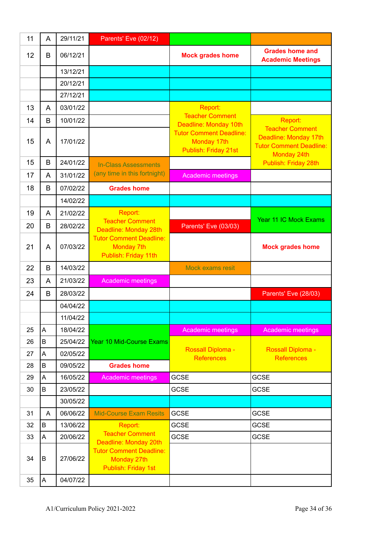| 11 | A | 29/11/21 | Parents' Eve (02/12)                                                        |                                                                       |                                                                                                  |
|----|---|----------|-----------------------------------------------------------------------------|-----------------------------------------------------------------------|--------------------------------------------------------------------------------------------------|
| 12 | B | 06/12/21 |                                                                             | <b>Mock grades home</b>                                               | <b>Grades home and</b><br><b>Academic Meetings</b>                                               |
|    |   | 13/12/21 |                                                                             |                                                                       |                                                                                                  |
|    |   | 20/12/21 |                                                                             |                                                                       |                                                                                                  |
|    |   | 27/12/21 |                                                                             |                                                                       |                                                                                                  |
| 13 | A | 03/01/22 |                                                                             | Report:                                                               |                                                                                                  |
| 14 | B | 10/01/22 |                                                                             | <b>Teacher Comment</b><br>Deadline: Monday 10th                       | Report:                                                                                          |
| 15 | A | 17/01/22 |                                                                             | <b>Tutor Comment Deadline:</b><br>Monday 17th<br>Publish: Friday 21st | <b>Teacher Comment</b><br>Deadline: Monday 17th<br><b>Tutor Comment Deadline:</b><br>Monday 24th |
| 15 | B | 24/01/22 | <b>In-Class Assessments</b>                                                 |                                                                       | Publish: Friday 28th                                                                             |
| 17 | A | 31/01/22 | (any time in this fortnight)                                                | <b>Academic meetings</b>                                              |                                                                                                  |
| 18 | B | 07/02/22 | <b>Grades home</b>                                                          |                                                                       |                                                                                                  |
|    |   | 14/02/22 |                                                                             |                                                                       |                                                                                                  |
| 19 | A | 21/02/22 | Report:                                                                     |                                                                       |                                                                                                  |
| 20 | B | 28/02/22 | <b>Teacher Comment</b><br>Deadline: Monday 28th                             | Parents' Eve (03/03)                                                  | <b>Year 11 IC Mock Exams</b>                                                                     |
| 21 | A | 07/03/22 | <b>Tutor Comment Deadline:</b><br><b>Monday 7th</b><br>Publish: Friday 11th |                                                                       | <b>Mock grades home</b>                                                                          |
| 22 | B | 14/03/22 |                                                                             | <b>Mock exams resit</b>                                               |                                                                                                  |
| 23 | A | 21/03/22 | <b>Academic meetings</b>                                                    |                                                                       |                                                                                                  |
| 24 | B | 28/03/22 |                                                                             |                                                                       | Parents' Eve (28/03)                                                                             |
|    |   | 04/04/22 |                                                                             |                                                                       |                                                                                                  |
|    |   | 11/04/22 |                                                                             |                                                                       |                                                                                                  |
| 25 | A | 18/04/22 |                                                                             | <b>Academic meetings</b>                                              | <b>Academic meetings</b>                                                                         |
| 26 | B | 25/04/22 | Year 10 Mid-Course Exams                                                    |                                                                       |                                                                                                  |
| 27 | A | 02/05/22 |                                                                             | <b>Rossall Diploma -</b><br><b>References</b>                         | <b>Rossall Diploma -</b><br><b>References</b>                                                    |
| 28 | B | 09/05/22 | <b>Grades home</b>                                                          |                                                                       |                                                                                                  |
| 29 | A | 16/05/22 | <b>Academic meetings</b>                                                    | <b>GCSE</b>                                                           | <b>GCSE</b>                                                                                      |
| 30 | B | 23/05/22 |                                                                             | <b>GCSE</b>                                                           | <b>GCSE</b>                                                                                      |
|    |   | 30/05/22 |                                                                             |                                                                       |                                                                                                  |
| 31 | A | 06/06/22 | <b>Mid-Course Exam Resits</b>                                               | <b>GCSE</b>                                                           | <b>GCSE</b>                                                                                      |
| 32 | B | 13/06/22 | Report:                                                                     | <b>GCSE</b>                                                           | <b>GCSE</b>                                                                                      |
| 33 | A | 20/06/22 | <b>Teacher Comment</b><br>Deadline: Monday 20th                             | <b>GCSE</b>                                                           | <b>GCSE</b>                                                                                      |
| 34 | B | 27/06/22 | <b>Tutor Comment Deadline:</b><br>Monday 27th<br>Publish: Friday 1st        |                                                                       |                                                                                                  |
| 35 | A | 04/07/22 |                                                                             |                                                                       |                                                                                                  |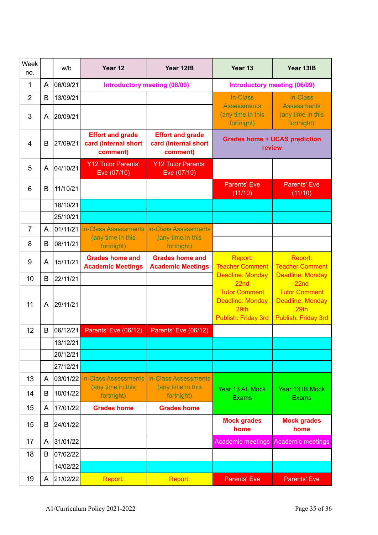| Week<br>no.     |   | w/b      | Year 12                                                     | Year 12IB                                                   | Year 13                                                                        | Year 13IB                                                                      |  |
|-----------------|---|----------|-------------------------------------------------------------|-------------------------------------------------------------|--------------------------------------------------------------------------------|--------------------------------------------------------------------------------|--|
| 1               | A | 06/09/21 | Introductory meeting (08/09)                                |                                                             | <b>Introductory meeting (06/09)</b>                                            |                                                                                |  |
| 2               | B | 13/09/21 |                                                             |                                                             | In-Class                                                                       | In-Class                                                                       |  |
| 3               | A | 20/09/21 |                                                             |                                                             | <b>Assessments</b><br>(any time in this<br>fortnight)                          | <b>Assessments</b><br>(any time in this<br>fortnight)                          |  |
| 4               | B | 27/09/21 | <b>Effort and grade</b><br>card (internal short<br>comment) | <b>Effort and grade</b><br>card (internal short<br>comment) | <b>Grades home + UCAS prediction</b><br>review                                 |                                                                                |  |
| 5               | A | 04/10/21 | <b>Y12 Tutor Parents'</b><br>Eve (07/10)                    | <b>Y12 Tutor Parents'</b><br>Eve (07/10)                    |                                                                                |                                                                                |  |
| 6               | B | 11/10/21 |                                                             |                                                             | <b>Parents' Eve</b><br>(11/10)                                                 | <b>Parents' Eve</b><br>(11/10)                                                 |  |
|                 |   | 18/10/21 |                                                             |                                                             |                                                                                |                                                                                |  |
|                 |   | 25/10/21 |                                                             |                                                             |                                                                                |                                                                                |  |
| $\overline{7}$  | A | 01/11/21 | <b>In-Class Assessments</b>                                 | <b>In-Class Assessments</b>                                 |                                                                                |                                                                                |  |
| 8               | B | 08/11/21 | (any time in this<br>fortnight)                             | (any time in this<br>fortnight)                             |                                                                                |                                                                                |  |
| 9               | A | 15/11/21 | <b>Grades home and</b><br><b>Academic Meetings</b>          | <b>Grades home and</b><br><b>Academic Meetings</b>          | Report:<br><b>Teacher Comment</b>                                              | Report:<br><b>Teacher Comment</b>                                              |  |
| 10              | B | 22/11/21 |                                                             |                                                             | <b>Deadline: Monday</b><br>22 <sub>nd</sub>                                    | Deadline: Monday<br>22 <sub>nd</sub>                                           |  |
| 11              | A | 29/11/21 |                                                             |                                                             | <b>Tutor Comment</b><br><b>Deadline: Monday</b><br>29th<br>Publish: Friday 3rd | <b>Tutor Comment</b><br><b>Deadline: Monday</b><br>29th<br>Publish: Friday 3rd |  |
| 12 <sup>2</sup> | B | 06/12/21 | Parents' Eve (06/12)                                        | Parents' Eve (06/12)                                        |                                                                                |                                                                                |  |
|                 |   | 13/12/21 |                                                             |                                                             |                                                                                |                                                                                |  |
|                 |   | 20/12/21 |                                                             |                                                             |                                                                                |                                                                                |  |
|                 |   | 27/12/21 |                                                             |                                                             |                                                                                |                                                                                |  |
| 13              | A | 03/01/22 | <b>In-Class Assessments</b>                                 | <b>In-Class Assessments</b>                                 |                                                                                |                                                                                |  |
| 14              | B | 10/01/22 | (any time in this<br>fortnight)                             | (any time in this<br>fortnight)                             | Year 13 AL Mock<br><b>Exams</b>                                                | Year 13 IB Mock<br><b>Exams</b>                                                |  |
| 15              | A | 17/01/22 | <b>Grades home</b>                                          | <b>Grades home</b>                                          |                                                                                |                                                                                |  |
| 15              | B | 24/01/22 |                                                             |                                                             | <b>Mock grades</b><br>home                                                     | <b>Mock grades</b><br>home                                                     |  |
| 17              | A | 31/01/22 |                                                             |                                                             | Academic meetings                                                              | <b>Academic meetings</b>                                                       |  |
| 18              | B | 07/02/22 |                                                             |                                                             |                                                                                |                                                                                |  |
|                 |   | 14/02/22 |                                                             |                                                             |                                                                                |                                                                                |  |
| 19              | A | 21/02/22 | Report:                                                     | Report:                                                     | Parents' Eve                                                                   | Parents' Eve                                                                   |  |